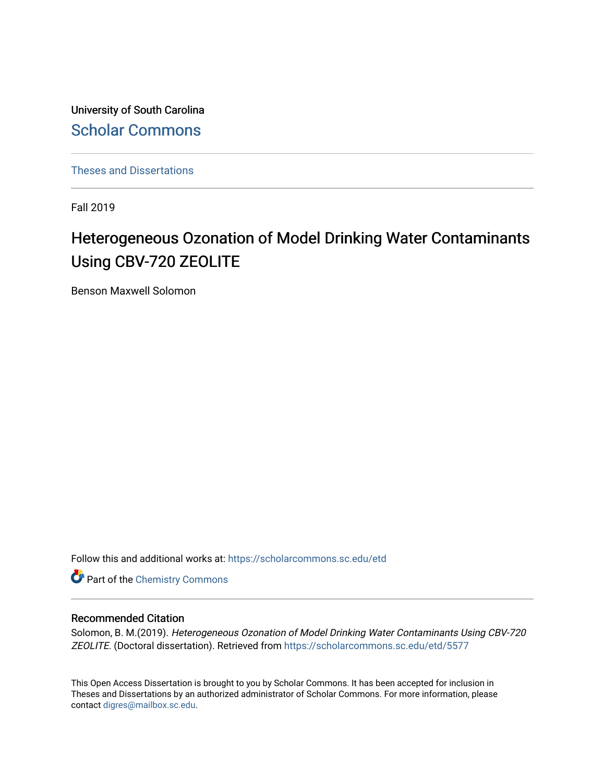University of South Carolina [Scholar Commons](https://scholarcommons.sc.edu/) 

[Theses and Dissertations](https://scholarcommons.sc.edu/etd)

Fall 2019

# Heterogeneous Ozonation of Model Drinking Water Contaminants Using CBV-720 ZEOLITE

Benson Maxwell Solomon

Follow this and additional works at: [https://scholarcommons.sc.edu/etd](https://scholarcommons.sc.edu/etd?utm_source=scholarcommons.sc.edu%2Fetd%2F5577&utm_medium=PDF&utm_campaign=PDFCoverPages)

**Part of the Chemistry Commons** 

#### Recommended Citation

Solomon, B. M.(2019). Heterogeneous Ozonation of Model Drinking Water Contaminants Using CBV-720 ZEOLITE. (Doctoral dissertation). Retrieved from [https://scholarcommons.sc.edu/etd/5577](https://scholarcommons.sc.edu/etd/5577?utm_source=scholarcommons.sc.edu%2Fetd%2F5577&utm_medium=PDF&utm_campaign=PDFCoverPages) 

This Open Access Dissertation is brought to you by Scholar Commons. It has been accepted for inclusion in Theses and Dissertations by an authorized administrator of Scholar Commons. For more information, please contact [digres@mailbox.sc.edu.](mailto:digres@mailbox.sc.edu)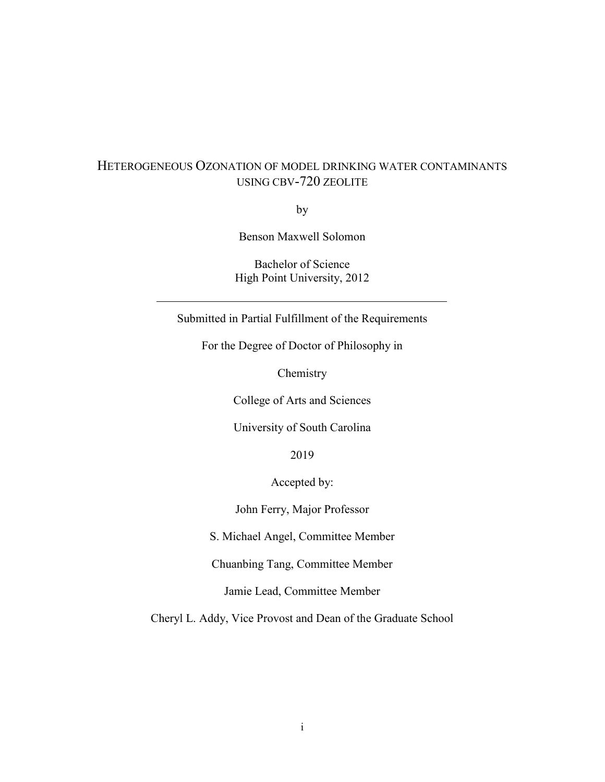### HETEROGENEOUS OZONATION OF MODEL DRINKING WATER CONTAMINANTS USING CBV-720 ZEOLITE

by

Benson Maxwell Solomon

Bachelor of Science High Point University, 2012

Submitted in Partial Fulfillment of the Requirements

For the Degree of Doctor of Philosophy in

Chemistry

College of Arts and Sciences

University of South Carolina

2019

Accepted by:

John Ferry, Major Professor

S. Michael Angel, Committee Member

Chuanbing Tang, Committee Member

Jamie Lead, Committee Member

Cheryl L. Addy, Vice Provost and Dean of the Graduate School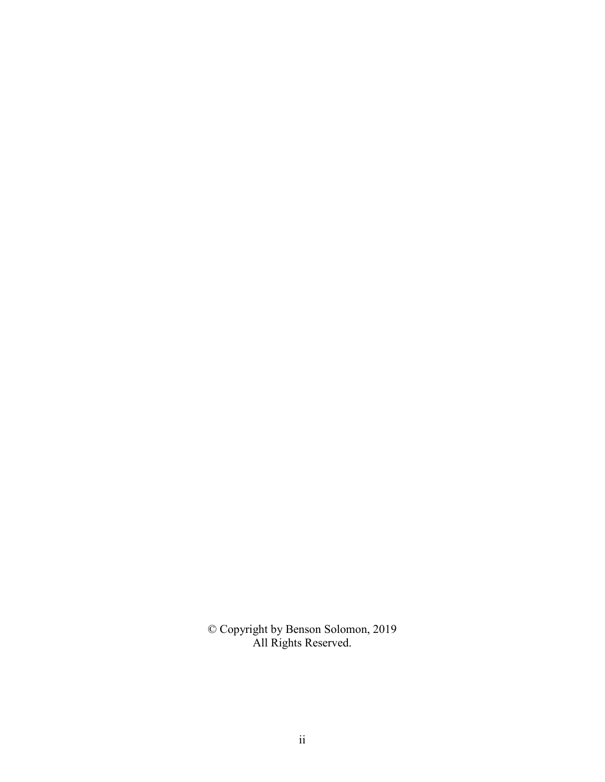© Copyright by Benson Solomon, 2019 All Rights Reserved.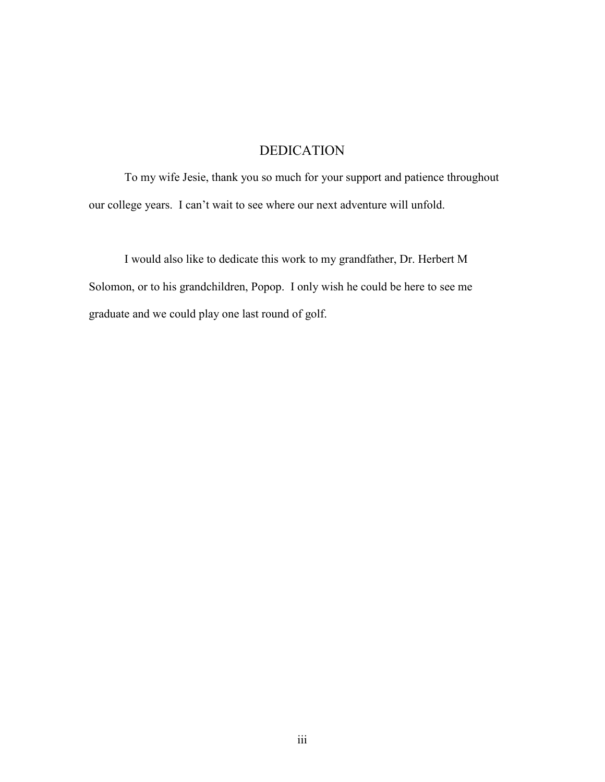### DEDICATION

To my wife Jesie, thank you so much for your support and patience throughout our college years. I can't wait to see where our next adventure will unfold.

I would also like to dedicate this work to my grandfather, Dr. Herbert M Solomon, or to his grandchildren, Popop. I only wish he could be here to see me graduate and we could play one last round of golf.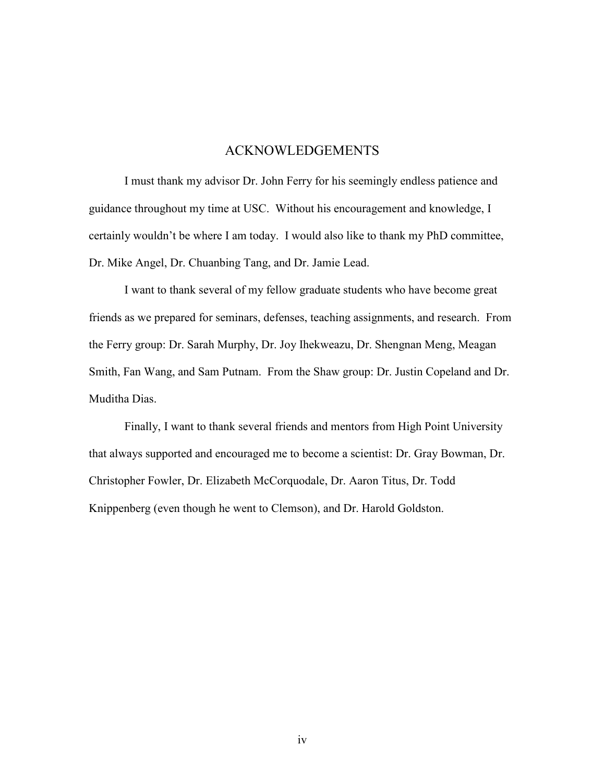### ACKNOWLEDGEMENTS

I must thank my advisor Dr. John Ferry for his seemingly endless patience and guidance throughout my time at USC. Without his encouragement and knowledge, I certainly wouldn't be where I am today. I would also like to thank my PhD committee, Dr. Mike Angel, Dr. Chuanbing Tang, and Dr. Jamie Lead.

I want to thank several of my fellow graduate students who have become great friends as we prepared for seminars, defenses, teaching assignments, and research. From the Ferry group: Dr. Sarah Murphy, Dr. Joy Ihekweazu, Dr. Shengnan Meng, Meagan Smith, Fan Wang, and Sam Putnam. From the Shaw group: Dr. Justin Copeland and Dr. Muditha Dias.

Finally, I want to thank several friends and mentors from High Point University that always supported and encouraged me to become a scientist: Dr. Gray Bowman, Dr. Christopher Fowler, Dr. Elizabeth McCorquodale, Dr. Aaron Titus, Dr. Todd Knippenberg (even though he went to Clemson), and Dr. Harold Goldston.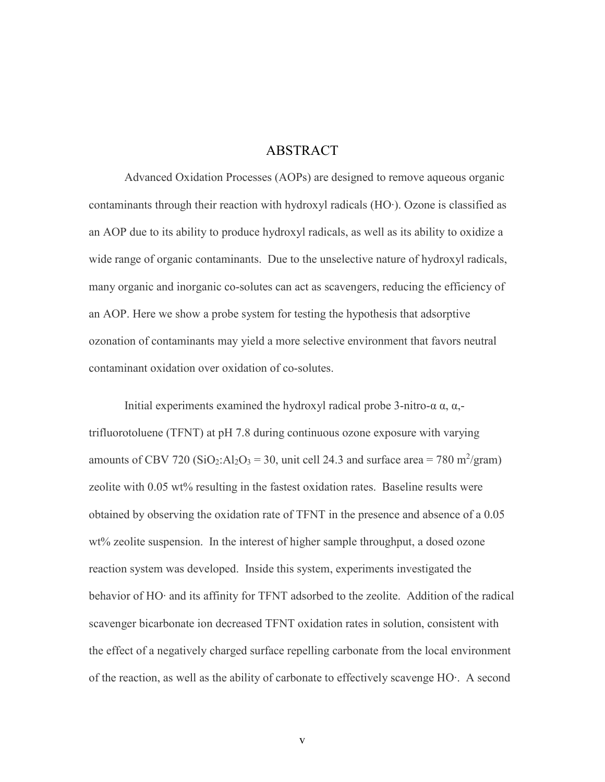### ABSTRACT

Advanced Oxidation Processes (AOPs) are designed to remove aqueous organic contaminants through their reaction with hydroxyl radicals (HO∙). Ozone is classified as an AOP due to its ability to produce hydroxyl radicals, as well as its ability to oxidize a wide range of organic contaminants. Due to the unselective nature of hydroxyl radicals, many organic and inorganic co-solutes can act as scavengers, reducing the efficiency of an AOP. Here we show a probe system for testing the hypothesis that adsorptive ozonation of contaminants may yield a more selective environment that favors neutral contaminant oxidation over oxidation of co-solutes.

Initial experiments examined the hydroxyl radical probe 3-nitro-α  $\alpha$ ,  $\alpha$ ,trifluorotoluene (TFNT) at pH 7.8 during continuous ozone exposure with varying amounts of CBV 720 (SiO<sub>2</sub>:Al<sub>2</sub>O<sub>3</sub> = 30, unit cell 24.3 and surface area = 780 m<sup>2</sup>/gram) zeolite with 0.05 wt% resulting in the fastest oxidation rates. Baseline results were obtained by observing the oxidation rate of TFNT in the presence and absence of a 0.05 wt% zeolite suspension. In the interest of higher sample throughput, a dosed ozone reaction system was developed. Inside this system, experiments investigated the behavior of HO∙ and its affinity for TFNT adsorbed to the zeolite. Addition of the radical scavenger bicarbonate ion decreased TFNT oxidation rates in solution, consistent with the effect of a negatively charged surface repelling carbonate from the local environment of the reaction, as well as the ability of carbonate to effectively scavenge HO∙. A second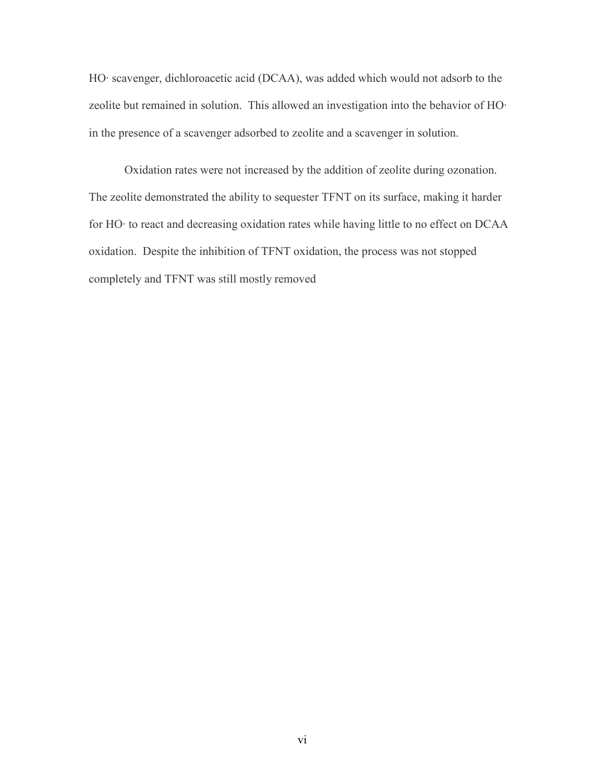HO∙ scavenger, dichloroacetic acid (DCAA), was added which would not adsorb to the zeolite but remained in solution. This allowed an investigation into the behavior of HO∙ in the presence of a scavenger adsorbed to zeolite and a scavenger in solution.

Oxidation rates were not increased by the addition of zeolite during ozonation. The zeolite demonstrated the ability to sequester TFNT on its surface, making it harder for HO∙ to react and decreasing oxidation rates while having little to no effect on DCAA oxidation. Despite the inhibition of TFNT oxidation, the process was not stopped completely and TFNT was still mostly removed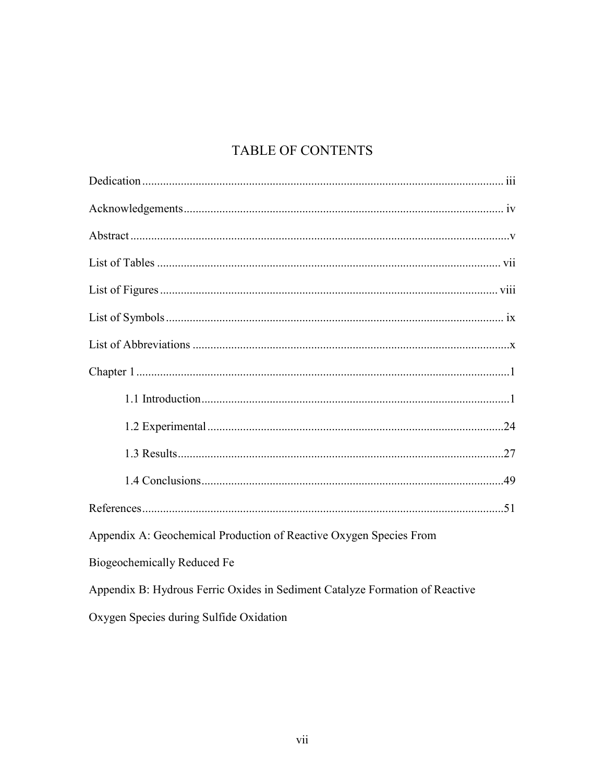## TABLE OF CONTENTS

| Appendix A: Geochemical Production of Reactive Oxygen Species From           |
|------------------------------------------------------------------------------|
| Biogeochemically Reduced Fe                                                  |
| Appendix B: Hydrous Ferric Oxides in Sediment Catalyze Formation of Reactive |
| Oxygen Species during Sulfide Oxidation                                      |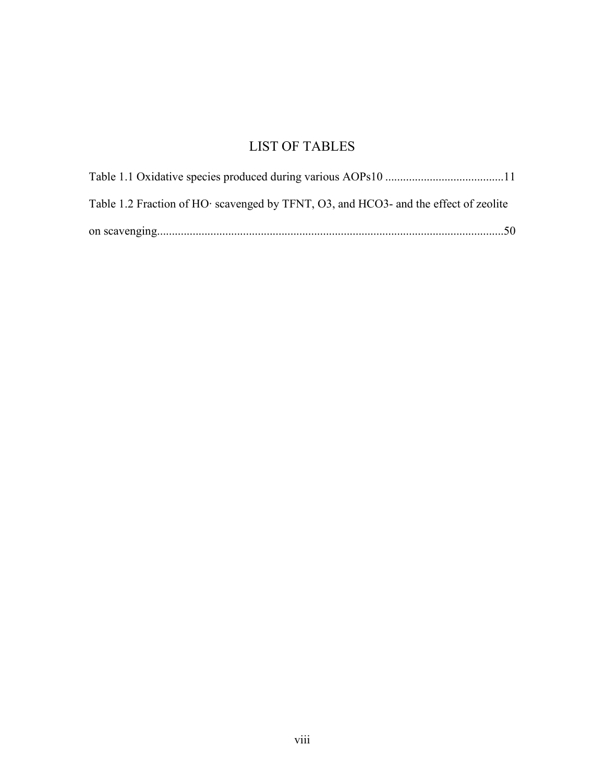## LIST OF TABLES

| Table 1.2 Fraction of HO· scavenged by TFNT, O3, and HCO3- and the effect of zeolite |  |
|--------------------------------------------------------------------------------------|--|
|                                                                                      |  |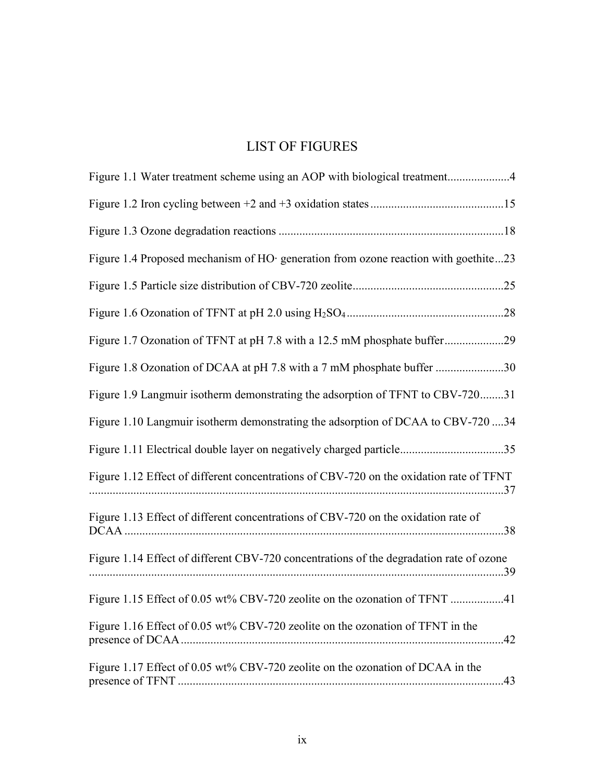## LIST OF FIGURES

| Figure 1.1 Water treatment scheme using an AOP with biological treatment4               |
|-----------------------------------------------------------------------------------------|
|                                                                                         |
|                                                                                         |
| Figure 1.4 Proposed mechanism of HO· generation from ozone reaction with goethite23     |
|                                                                                         |
|                                                                                         |
| Figure 1.7 Ozonation of TFNT at pH 7.8 with a 12.5 mM phosphate buffer29                |
| Figure 1.8 Ozonation of DCAA at pH 7.8 with a 7 mM phosphate buffer 30                  |
| Figure 1.9 Langmuir isotherm demonstrating the adsorption of TFNT to CBV-72031          |
| Figure 1.10 Langmuir isotherm demonstrating the adsorption of DCAA to CBV-720 34        |
| Figure 1.11 Electrical double layer on negatively charged particle35                    |
| Figure 1.12 Effect of different concentrations of CBV-720 on the oxidation rate of TFNT |
| Figure 1.13 Effect of different concentrations of CBV-720 on the oxidation rate of      |
| Figure 1.14 Effect of different CBV-720 concentrations of the degradation rate of ozone |
| Figure 1.15 Effect of 0.05 wt% CBV-720 zeolite on the ozonation of TFNT 41              |
| Figure 1.16 Effect of 0.05 wt% CBV-720 zeolite on the ozonation of TFNT in the          |
| Figure 1.17 Effect of 0.05 wt% CBV-720 zeolite on the ozonation of DCAA in the          |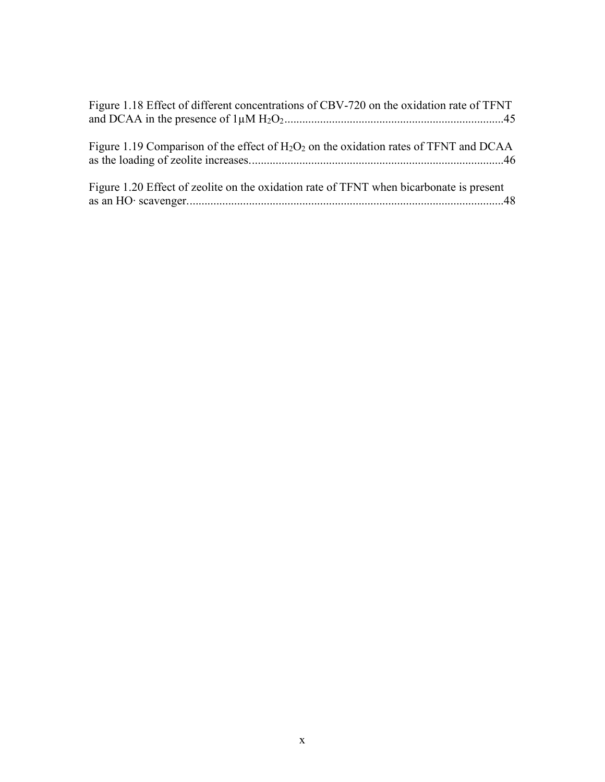| Figure 1.18 Effect of different concentrations of CBV-720 on the oxidation rate of TFNT  |
|------------------------------------------------------------------------------------------|
| Figure 1.19 Comparison of the effect of $H_2O_2$ on the oxidation rates of TFNT and DCAA |
| Figure 1.20 Effect of zeolite on the oxidation rate of TFNT when bicarbonate is present  |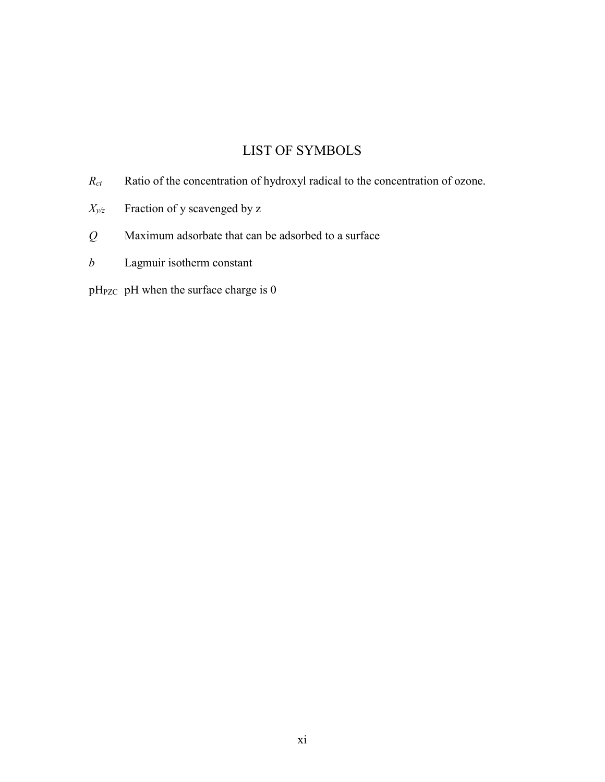## LIST OF SYMBOLS

- *Rct* Ratio of the concentration of hydroxyl radical to the concentration of ozone.
- $X_{y/z}$  Fraction of y scavenged by z
- *Q* Maximum adsorbate that can be adsorbed to a surface
- *b* Lagmuir isotherm constant
- pH<sub>PZC</sub> pH when the surface charge is 0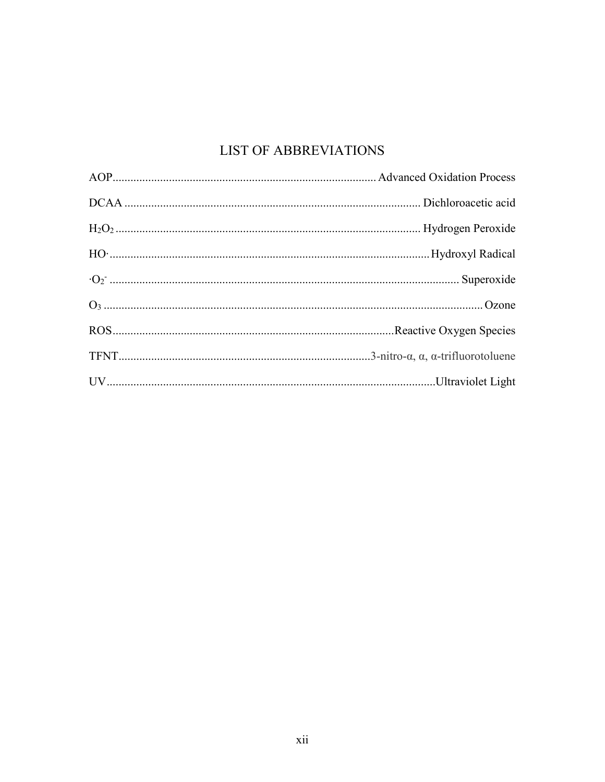## LIST OF ABBREVIATIONS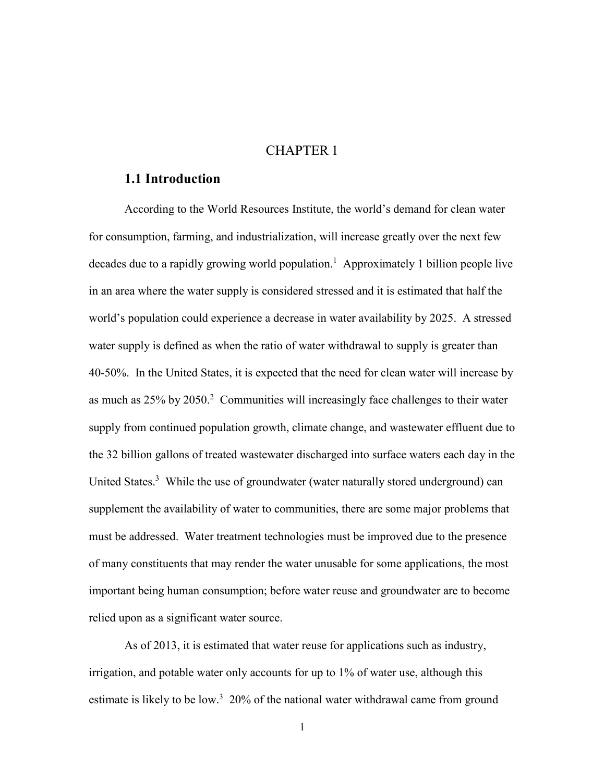### CHAPTER 1

### **1.1 Introduction**

According to the World Resources Institute, the world's demand for clean water for consumption, farming, and industrialization, will increase greatly over the next few decades due to a rapidly growing world population.<sup>1</sup> Approximately 1 billion people live in an area where the water supply is considered stressed and it is estimated that half the world's population could experience a decrease in water availability by 2025. A stressed water supply is defined as when the ratio of water withdrawal to supply is greater than 40-50%. In the United States, it is expected that the need for clean water will increase by as much as  $25\%$  by  $2050$ .<sup>2</sup> Communities will increasingly face challenges to their water supply from continued population growth, climate change, and wastewater effluent due to the 32 billion gallons of treated wastewater discharged into surface waters each day in the United States.<sup>3</sup> While the use of groundwater (water naturally stored underground) can supplement the availability of water to communities, there are some major problems that must be addressed. Water treatment technologies must be improved due to the presence of many constituents that may render the water unusable for some applications, the most important being human consumption; before water reuse and groundwater are to become relied upon as a significant water source.

As of 2013, it is estimated that water reuse for applications such as industry, irrigation, and potable water only accounts for up to 1% of water use, although this estimate is likely to be low.<sup>3</sup> 20% of the national water withdrawal came from ground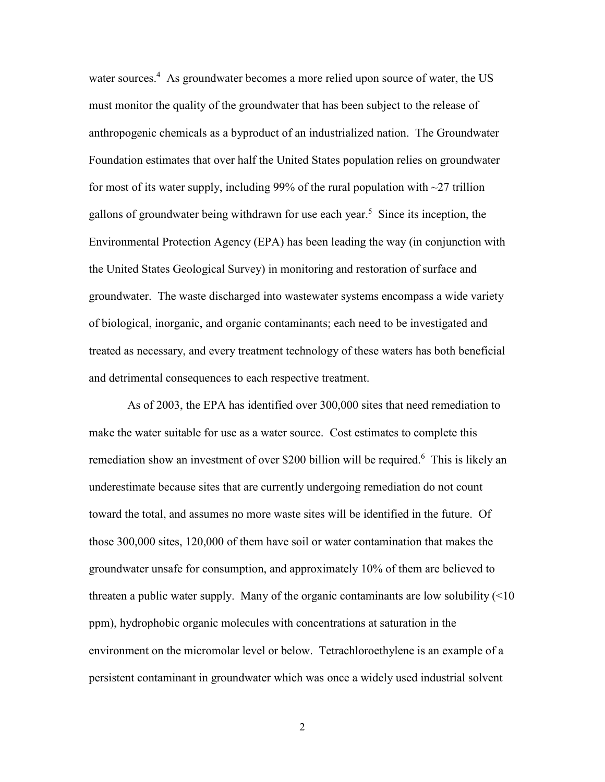water sources.<sup>4</sup> As groundwater becomes a more relied upon source of water, the US must monitor the quality of the groundwater that has been subject to the release of anthropogenic chemicals as a byproduct of an industrialized nation. The Groundwater Foundation estimates that over half the United States population relies on groundwater for most of its water supply, including 99% of the rural population with  $\sim$ 27 trillion gallons of groundwater being withdrawn for use each year.<sup>5</sup> Since its inception, the Environmental Protection Agency (EPA) has been leading the way (in conjunction with the United States Geological Survey) in monitoring and restoration of surface and groundwater. The waste discharged into wastewater systems encompass a wide variety of biological, inorganic, and organic contaminants; each need to be investigated and treated as necessary, and every treatment technology of these waters has both beneficial and detrimental consequences to each respective treatment.

As of 2003, the EPA has identified over 300,000 sites that need remediation to make the water suitable for use as a water source. Cost estimates to complete this remediation show an investment of over \$200 billion will be required.<sup>6</sup> This is likely an underestimate because sites that are currently undergoing remediation do not count toward the total, and assumes no more waste sites will be identified in the future. Of those 300,000 sites, 120,000 of them have soil or water contamination that makes the groundwater unsafe for consumption, and approximately 10% of them are believed to threaten a public water supply. Many of the organic contaminants are low solubility  $(\leq 10$ ppm), hydrophobic organic molecules with concentrations at saturation in the environment on the micromolar level or below. Tetrachloroethylene is an example of a persistent contaminant in groundwater which was once a widely used industrial solvent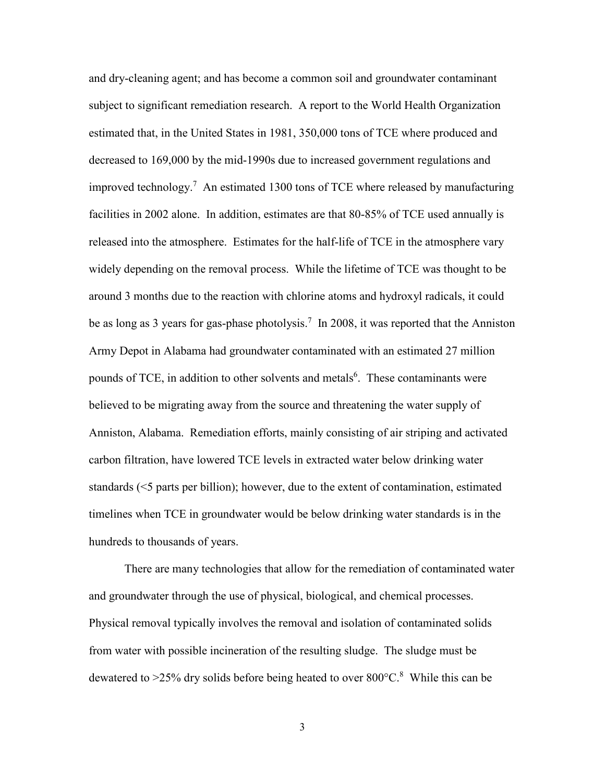and dry-cleaning agent; and has become a common soil and groundwater contaminant subject to significant remediation research. A report to the World Health Organization estimated that, in the United States in 1981, 350,000 tons of TCE where produced and decreased to 169,000 by the mid-1990s due to increased government regulations and improved technology.<sup>7</sup> An estimated 1300 tons of TCE where released by manufacturing facilities in 2002 alone. In addition, estimates are that 80-85% of TCE used annually is released into the atmosphere. Estimates for the half-life of TCE in the atmosphere vary widely depending on the removal process. While the lifetime of TCE was thought to be around 3 months due to the reaction with chlorine atoms and hydroxyl radicals, it could be as long as 3 years for gas-phase photolysis.<sup>7</sup> In 2008, it was reported that the Anniston Army Depot in Alabama had groundwater contaminated with an estimated 27 million pounds of TCE, in addition to other solvents and metals<sup>6</sup>. These contaminants were believed to be migrating away from the source and threatening the water supply of Anniston, Alabama. Remediation efforts, mainly consisting of air striping and activated carbon filtration, have lowered TCE levels in extracted water below drinking water standards (<5 parts per billion); however, due to the extent of contamination, estimated timelines when TCE in groundwater would be below drinking water standards is in the hundreds to thousands of years.

There are many technologies that allow for the remediation of contaminated water and groundwater through the use of physical, biological, and chemical processes. Physical removal typically involves the removal and isolation of contaminated solids from water with possible incineration of the resulting sludge. The sludge must be dewatered to  $>$ 25% dry solids before being heated to over 800 $^{\circ}$ C.<sup>8</sup> While this can be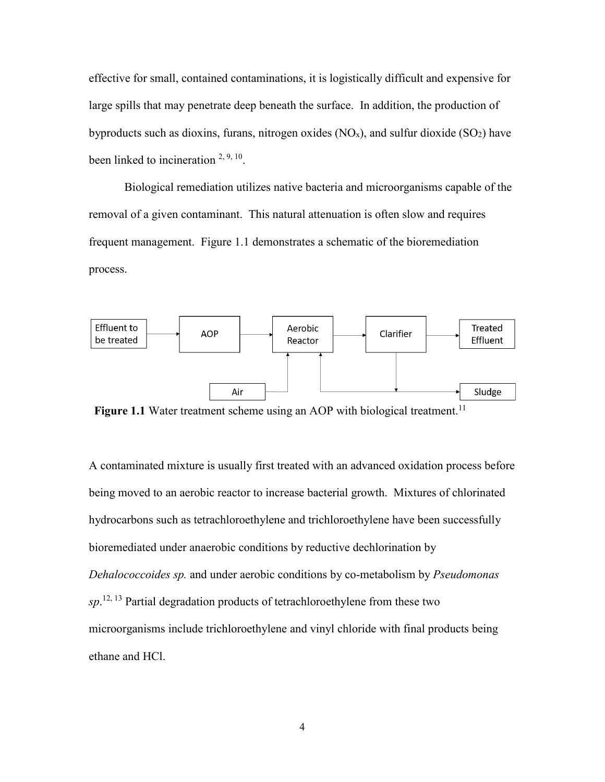effective for small, contained contaminations, it is logistically difficult and expensive for large spills that may penetrate deep beneath the surface. In addition, the production of byproducts such as dioxins, furans, nitrogen oxides  $(NO<sub>x</sub>)$ , and sulfur dioxide  $(SO<sub>2</sub>)$  have been linked to incineration  $2, 9, 10$ .

Biological remediation utilizes native bacteria and microorganisms capable of the removal of a given contaminant. This natural attenuation is often slow and requires frequent management. Figure 1.1 demonstrates a schematic of the bioremediation process.



Figure 1.1 Water treatment scheme using an AOP with biological treatment.<sup>11</sup>

A contaminated mixture is usually first treated with an advanced oxidation process before being moved to an aerobic reactor to increase bacterial growth. Mixtures of chlorinated hydrocarbons such as tetrachloroethylene and trichloroethylene have been successfully bioremediated under anaerobic conditions by reductive dechlorination by *Dehalococcoides sp.* and under aerobic conditions by co-metabolism by *Pseudomonas sp*. 12, 13 Partial degradation products of tetrachloroethylene from these two microorganisms include trichloroethylene and vinyl chloride with final products being ethane and HCl.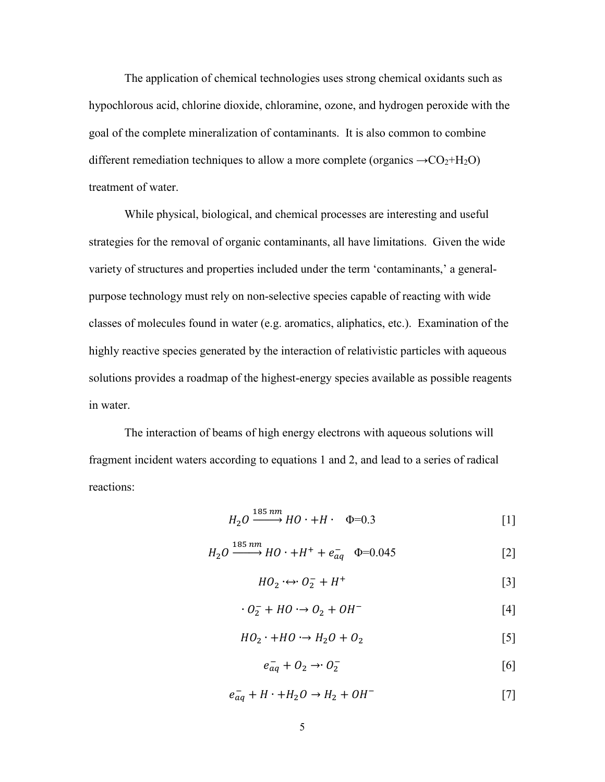The application of chemical technologies uses strong chemical oxidants such as hypochlorous acid, chlorine dioxide, chloramine, ozone, and hydrogen peroxide with the goal of the complete mineralization of contaminants. It is also common to combine different remediation techniques to allow a more complete (organics  $\rightarrow CO_2 + H_2O$ ) treatment of water.

While physical, biological, and chemical processes are interesting and useful strategies for the removal of organic contaminants, all have limitations. Given the wide variety of structures and properties included under the term 'contaminants,' a generalpurpose technology must rely on non-selective species capable of reacting with wide classes of molecules found in water (e.g. aromatics, aliphatics, etc.). Examination of the highly reactive species generated by the interaction of relativistic particles with aqueous solutions provides a roadmap of the highest-energy species available as possible reagents in water.

The interaction of beams of high energy electrons with aqueous solutions will fragment incident waters according to equations 1 and 2, and lead to a series of radical reactions:

$$
H_2O \xrightarrow{185 \, nm} HO \cdot + H \cdot \Phi = 0.3 \tag{1}
$$

$$
H_2O \xrightarrow{185 \, nm} HO \cdot + H^+ + e^-_{aq} \quad \Phi = 0.045 \tag{2}
$$

$$
HO_2 \leftrightarrow O_2^- + H^+ \tag{3}
$$

$$
0_2^- + HO \rightarrow 0_2 + OH^- \tag{4}
$$

$$
HO_2 \cdot + HO \cdot \rightarrow H_2O + O_2 \tag{5}
$$

$$
e_{aq}^- + O_2 \rightarrow O_2^- \tag{6}
$$

$$
e_{aq}^- + H \cdot + H_2O \rightarrow H_2 + OH^-
$$
 [7]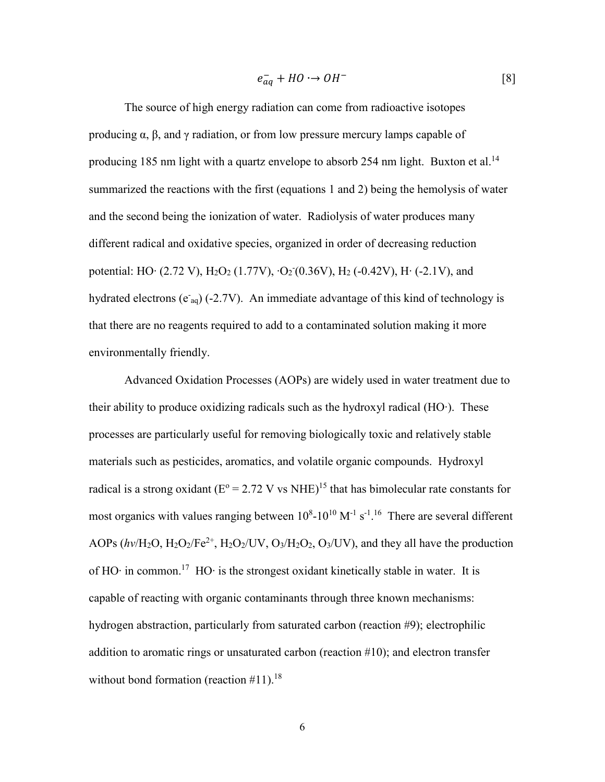$$
e_{aq}^- + HO \to OH^- \tag{8}
$$

The source of high energy radiation can come from radioactive isotopes producing  $\alpha$ ,  $\beta$ , and  $\gamma$  radiation, or from low pressure mercury lamps capable of producing 185 nm light with a quartz envelope to absorb 254 nm light. Buxton et al.<sup>14</sup> summarized the reactions with the first (equations 1 and 2) being the hemolysis of water and the second being the ionization of water. Radiolysis of water produces many different radical and oxidative species, organized in order of decreasing reduction potential: HO∙ (2.72 V), H<sub>2</sub>O<sub>2</sub> (1.77V), ∙O<sub>2</sub><sup>-</sup>(0.36V), H<sub>2</sub> (-0.42V), H⋅ (-2.1V), and hydrated electrons ( $e_{aq}$ ) (-2.7V). An immediate advantage of this kind of technology is that there are no reagents required to add to a contaminated solution making it more environmentally friendly.

Advanced Oxidation Processes (AOPs) are widely used in water treatment due to their ability to produce oxidizing radicals such as the hydroxyl radical (HO∙). These processes are particularly useful for removing biologically toxic and relatively stable materials such as pesticides, aromatics, and volatile organic compounds. Hydroxyl radical is a strong oxidant ( $E^{\circ} = 2.72$  V vs NHE)<sup>15</sup> that has bimolecular rate constants for most organics with values ranging between  $10^8$ - $10^{10}$  M<sup>-1</sup> s<sup>-1 16</sup> There are several different AOPs  $(hv/H_2O, H_2O_2/Fe^{2+}, H_2O_2/UV, O_3/H_2O_2, O_3/UV)$ , and they all have the production of HO∙ in common.17 HO∙ is the strongest oxidant kinetically stable in water. It is capable of reacting with organic contaminants through three known mechanisms: hydrogen abstraction, particularly from saturated carbon (reaction #9); electrophilic addition to aromatic rings or unsaturated carbon (reaction #10); and electron transfer without bond formation (reaction  $\#11$ ).<sup>18</sup>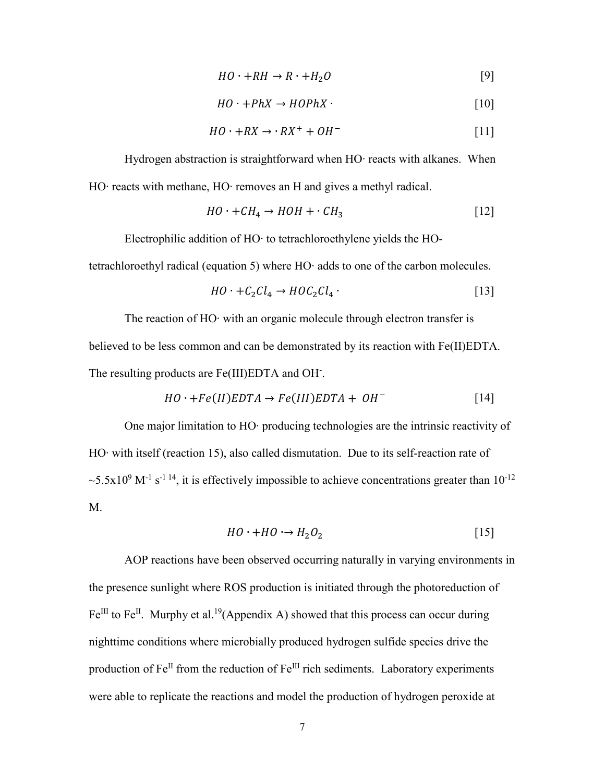$$
HO \cdot + RH \to R \cdot + H_2O \tag{9}
$$

$$
HO \cdot + PhX \to HOPhX \cdot \tag{10}
$$

$$
HO \cdot +RX \to \cdot RX^+ + OH^- \tag{11}
$$

Hydrogen abstraction is straightforward when HO⋅ reacts with alkanes. When HO∙ reacts with methane, HO∙ removes an H and gives a methyl radical.

$$
HO \cdot + CH_4 \rightarrow HOH + \cdot CH_3 \tag{12}
$$

Electrophilic addition of HO∙ to tetrachloroethylene yields the HO-

tetrachloroethyl radical (equation 5) where HO∙ adds to one of the carbon molecules.

$$
HO \cdot + C_2Cl_4 \rightarrow HOC_2Cl_4 \cdot \tag{13}
$$

The reaction of HO∙ with an organic molecule through electron transfer is believed to be less common and can be demonstrated by its reaction with Fe(II)EDTA. The resulting products are Fe(III)EDTA and OH.

$$
HO \cdot + Fe(II)EDTA \rightarrow Fe(III)EDTA + OH^-
$$
 [14]

One major limitation to HO∙ producing technologies are the intrinsic reactivity of HO∙ with itself (reaction 15), also called dismutation. Due to its self-reaction rate of  $\sim$  5.5x10<sup>9</sup> M<sup>-1</sup> s<sup>-1 14</sup>, it is effectively impossible to achieve concentrations greater than 10<sup>-12</sup> M.

$$
HO \cdot + HO \cdot \rightarrow H_2O_2 \tag{15}
$$

AOP reactions have been observed occurring naturally in varying environments in the presence sunlight where ROS production is initiated through the photoreduction of  $Fe^{III}$  to Fe<sup>II</sup>. Murphy et al.<sup>19</sup>(Appendix A) showed that this process can occur during nighttime conditions where microbially produced hydrogen sulfide species drive the production of  $Fe^{II}$  from the reduction of  $Fe^{III}$  rich sediments. Laboratory experiments were able to replicate the reactions and model the production of hydrogen peroxide at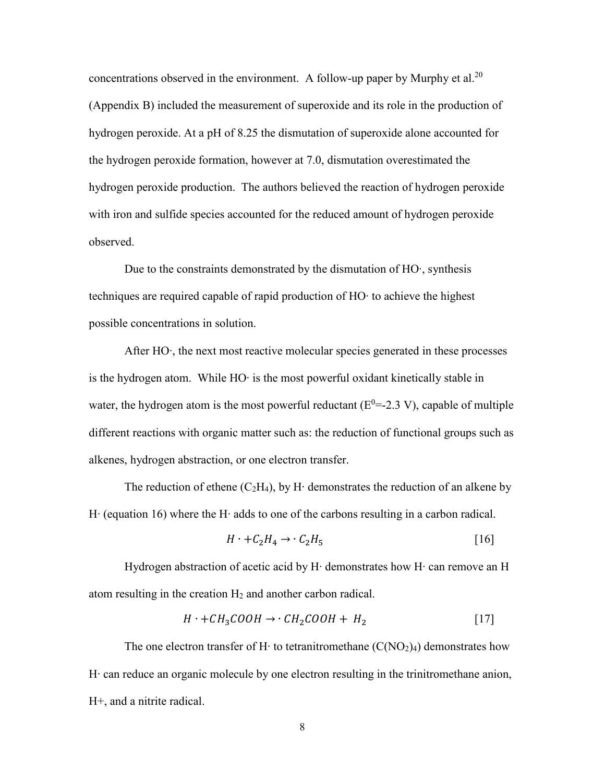concentrations observed in the environment. A follow-up paper by Murphy et al.<sup>20</sup> (Appendix B) included the measurement of superoxide and its role in the production of hydrogen peroxide. At a pH of 8.25 the dismutation of superoxide alone accounted for the hydrogen peroxide formation, however at 7.0, dismutation overestimated the hydrogen peroxide production. The authors believed the reaction of hydrogen peroxide with iron and sulfide species accounted for the reduced amount of hydrogen peroxide observed.

Due to the constraints demonstrated by the dismutation of HO∙, synthesis techniques are required capable of rapid production of HO∙ to achieve the highest possible concentrations in solution.

After HO∙, the next most reactive molecular species generated in these processes is the hydrogen atom. While HO∙ is the most powerful oxidant kinetically stable in water, the hydrogen atom is the most powerful reductant  $(E^0=2.3 V)$ , capable of multiple different reactions with organic matter such as: the reduction of functional groups such as alkenes, hydrogen abstraction, or one electron transfer.

The reduction of ethene (C<sub>2</sub>H<sub>4</sub>), by H⋅ demonstrates the reduction of an alkene by H∙ (equation 16) where the H∙ adds to one of the carbons resulting in a carbon radical.

$$
H \cdot +C_2H_4 \rightarrow \cdot C_2H_5 \tag{16}
$$

Hydrogen abstraction of acetic acid by H∙ demonstrates how H∙ can remove an H atom resulting in the creation  $H_2$  and another carbon radical.

$$
H \cdot + CH_3COOH \rightarrow \cdot CH_2COOH + H_2 \tag{17}
$$

The one electron transfer of H⋅ to tetranitromethane  $(C(NO<sub>2</sub>)<sub>4</sub>)$  demonstrates how H∙ can reduce an organic molecule by one electron resulting in the trinitromethane anion, H+, and a nitrite radical.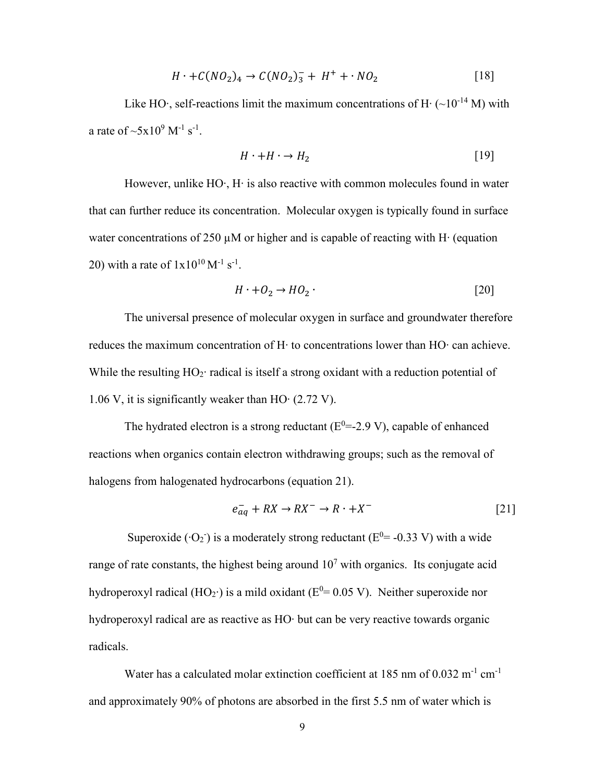$$
H \cdot + C(NO_2)_4 \to C(NO_2)_3^- + H^+ + \cdot NO_2 \tag{18}
$$

Like HO⋅, self-reactions limit the maximum concentrations of H⋅ (~10<sup>-14</sup> M) with a rate of  $\sim 5x10^9$  M<sup>-1</sup> s<sup>-1</sup>.

$$
H \cdot + H \cdot \to H_2 \tag{19}
$$

However, unlike HO∙, H∙ is also reactive with common molecules found in water that can further reduce its concentration. Molecular oxygen is typically found in surface water concentrations of 250 µM or higher and is capable of reacting with H∙ (equation 20) with a rate of  $1x10^{10} M^{-1} s^{-1}$ .

$$
H \cdot + O_2 \to HO_2 \tag{20}
$$

The universal presence of molecular oxygen in surface and groundwater therefore reduces the maximum concentration of H∙ to concentrations lower than HO∙ can achieve. While the resulting HO2∙ radical is itself a strong oxidant with a reduction potential of 1.06 V, it is significantly weaker than HO∙ (2.72 V).

The hydrated electron is a strong reductant  $(E^0 = -2.9 V)$ , capable of enhanced reactions when organics contain electron withdrawing groups; such as the removal of halogens from halogenated hydrocarbons (equation 21).

$$
e_{aq}^- + RX \to RX^- \to R \cdot + X^- \tag{21}
$$

Superoxide ( $\cdot$ O<sub>2</sub>) is a moderately strong reductant (E<sup>0</sup>= -0.33 V) with a wide range of rate constants, the highest being around  $10<sup>7</sup>$  with organics. Its conjugate acid hydroperoxyl radical (HO2∙) is a mild oxidant ( $E^{0}$ = 0.05 V). Neither superoxide nor hydroperoxyl radical are as reactive as HO∙ but can be very reactive towards organic radicals.

Water has a calculated molar extinction coefficient at 185 nm of  $0.032 \text{ m}^{-1} \text{ cm}^{-1}$ and approximately 90% of photons are absorbed in the first 5.5 nm of water which is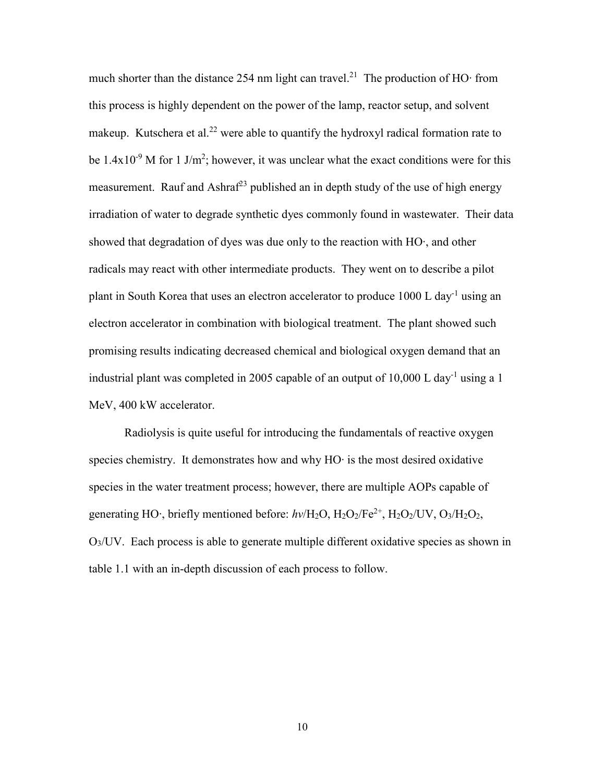much shorter than the distance 254 nm light can travel.<sup>21</sup> The production of HO⋅ from this process is highly dependent on the power of the lamp, reactor setup, and solvent makeup. Kutschera et al.<sup>22</sup> were able to quantify the hydroxyl radical formation rate to be  $1.4x10^{-9}$  M for 1 J/m<sup>2</sup>; however, it was unclear what the exact conditions were for this measurement. Rauf and Ashraf<sup>23</sup> published an in depth study of the use of high energy irradiation of water to degrade synthetic dyes commonly found in wastewater. Their data showed that degradation of dyes was due only to the reaction with HO∙, and other radicals may react with other intermediate products. They went on to describe a pilot plant in South Korea that uses an electron accelerator to produce  $1000 \text{ L day}^{-1}$  using an electron accelerator in combination with biological treatment. The plant showed such promising results indicating decreased chemical and biological oxygen demand that an industrial plant was completed in 2005 capable of an output of 10,000 L day<sup>-1</sup> using a 1 MeV, 400 kW accelerator.

Radiolysis is quite useful for introducing the fundamentals of reactive oxygen species chemistry. It demonstrates how and why HO∙ is the most desired oxidative species in the water treatment process; however, there are multiple AOPs capable of generating HO∙, briefly mentioned before: *hv*/H<sub>2</sub>O, H<sub>2</sub>O<sub>2</sub>/Fe<sup>2+</sup>, H<sub>2</sub>O<sub>2</sub>/UV, O<sub>3</sub>/H<sub>2</sub>O<sub>2</sub>, O3/UV. Each process is able to generate multiple different oxidative species as shown in table 1.1 with an in-depth discussion of each process to follow.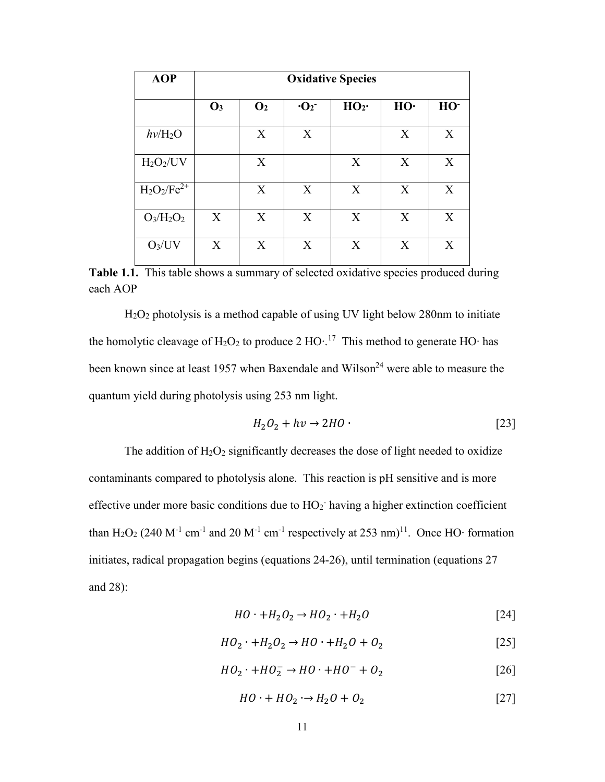| <b>AOP</b>               | <b>Oxidative Species</b> |                |                        |                 |     |                 |
|--------------------------|--------------------------|----------------|------------------------|-----------------|-----|-----------------|
|                          | $\mathbf{O}_3$           | $\mathbf{O}_2$ | $\cdot$ O <sub>2</sub> | HO <sub>2</sub> | HO· | HO <sup>-</sup> |
| $h\nu$ /H <sub>2</sub> O |                          | X              | X                      |                 | X   | X               |
| $H_2O_2/UV$              |                          | X              |                        | X               | X   | X               |
| $H_2O_2/Fe^{2+}$         |                          | X              | X                      | X               | X   | X               |
| $O_3/H_2O_2$             | X                        | X              | X                      | X               | X   | X               |
| $O_3/UV$                 | X                        | X              | X                      | X               | X   | X               |

Table 1.1. This table shows a summary of selected oxidative species produced during each AOP

H2O2 photolysis is a method capable of using UV light below 280nm to initiate the homolytic cleavage of H<sub>2</sub>O<sub>2</sub> to produce 2 HO∙.<sup>17</sup> This method to generate HO∙ has been known since at least 1957 when Baxendale and Wilson<sup>24</sup> were able to measure the quantum yield during photolysis using 253 nm light.

$$
H_2O_2 + hv \to 2HO \tag{23}
$$

The addition of  $H_2O_2$  significantly decreases the dose of light needed to oxidize contaminants compared to photolysis alone. This reaction is pH sensitive and is more effective under more basic conditions due to  $HO_2$ <sup>-</sup> having a higher extinction coefficient than H<sub>2</sub>O<sub>2</sub> (240 M<sup>-1</sup> cm<sup>-1</sup> and 20 M<sup>-1</sup> cm<sup>-1</sup> respectively at 253 nm)<sup>11</sup>. Once HO∙ formation initiates, radical propagation begins (equations 24-26), until termination (equations 27 and 28):

$$
HO \cdot + H_2O_2 \rightarrow HO_2 \cdot + H_2O \tag{24}
$$

$$
HO_2 \cdot +H_2O_2 \rightarrow HO \cdot +H_2O + O_2 \tag{25}
$$

$$
HO_2 \cdot + HO_2^- \rightarrow HO \cdot + HO^- + O_2 \tag{26}
$$

$$
HO \cdot + HO_2 \cdot \rightarrow H_2O + O_2 \tag{27}
$$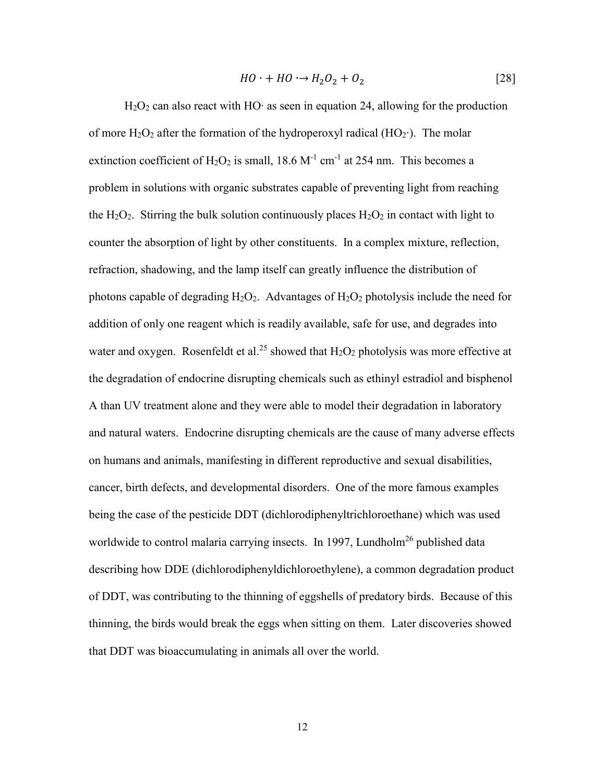$$
HO \cdot + HO \cdot \rightarrow H_2O_2 + O_2 \tag{28}
$$

H2O2 can also react with HO∙ as seen in equation 24, allowing for the production of more H<sub>2</sub>O<sub>2</sub> after the formation of the hydroperoxyl radical (HO<sub>2</sub>⋅). The molar extinction coefficient of  $H_2O_2$  is small, 18.6  $M^{-1}$  cm<sup>-1</sup> at 254 nm. This becomes a problem in solutions with organic substrates capable of preventing light from reaching the H<sub>2</sub>O<sub>2</sub>. Stirring the bulk solution continuously places  $H_2O_2$  in contact with light to counter the absorption of light by other constituents. In a complex mixture, reflection, refraction, shadowing, and the lamp itself can greatly influence the distribution of photons capable of degrading  $H_2O_2$ . Advantages of  $H_2O_2$  photolysis include the need for addition of only one reagent which is readily available, safe for use, and degrades into water and oxygen. Rosenfeldt et al.<sup>25</sup> showed that  $H_2O_2$  photolysis was more effective at the degradation of endocrine disrupting chemicals such as ethinyl estradiol and bisphenol A than UV treatment alone and they were able to model their degradation in laboratory and natural waters. Endocrine disrupting chemicals are the cause of many adverse effects on humans and animals, manifesting in different reproductive and sexual disabilities, cancer, birth defects, and developmental disorders. One of the more famous examples being the case of the pesticide DDT (dichlorodiphenyltrichloroethane) which was used worldwide to control malaria carrying insects. In 1997, Lundholm<sup>26</sup> published data describing how DDE (dichlorodiphenyldichloroethylene), a common degradation product of DDT, was contributing to the thinning of eggshells of predatory birds. Because of this thinning, the birds would break the eggs when sitting on them. Later discoveries showed that DDT was bioaccumulating in animals all over the world.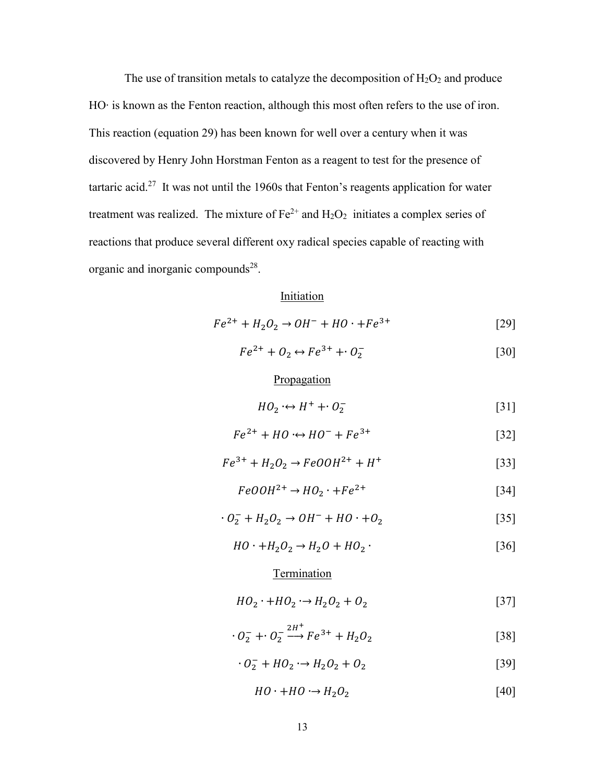The use of transition metals to catalyze the decomposition of  $H_2O_2$  and produce HO∙ is known as the Fenton reaction, although this most often refers to the use of iron. This reaction (equation 29) has been known for well over a century when it was discovered by Henry John Horstman Fenton as a reagent to test for the presence of tartaric acid.<sup>27</sup> It was not until the 1960s that Fenton's reagents application for water treatment was realized. The mixture of  $Fe^{2+}$  and  $H_2O_2$  initiates a complex series of reactions that produce several different oxy radical species capable of reacting with organic and inorganic compounds<sup>28</sup>.

#### Initiation

$$
Fe^{2+} + H_2O_2 \to OH^- + HO \cdot + Fe^{3+}
$$
 [29]

 $Fe^{2+} + O_2 \leftrightarrow Fe^{3+} + O_2^ [30]$ 

#### Propagation

$$
HO_2 \leftrightarrow H^+ + O_2^- \tag{31}
$$

$$
Fe^{2+} + HO \cdot \leftrightarrow HO^- + Fe^{3+} \tag{32}
$$

$$
Fe^{3+} + H_2O_2 \to FeOOH^{2+} + H^+ \tag{33}
$$

$$
FeOOH^{2+} \to HO_2 \cdot + Fe^{2+} \tag{34}
$$

$$
\cdot O_2^- + H_2O_2 \rightarrow OH^- + HO \cdot + O_2 \tag{35}
$$

$$
HO \cdot + H_2O_2 \rightarrow H_2O + HO_2 \cdot \tag{36}
$$

#### **Termination**

$$
HO_2 \cdot + HO_2 \cdot \rightarrow H_2O_2 + O_2 \tag{37}
$$

$$
0_2^- + 0_2^- \xrightarrow{2H^+} Fe^{3+} + H_2O_2
$$
 [38]

$$
\cdot O_2^- + HO_2 \rightarrow H_2O_2 + O_2 \tag{39}
$$

$$
HO \cdot + HO \cdot \rightarrow H_2O_2 \tag{40}
$$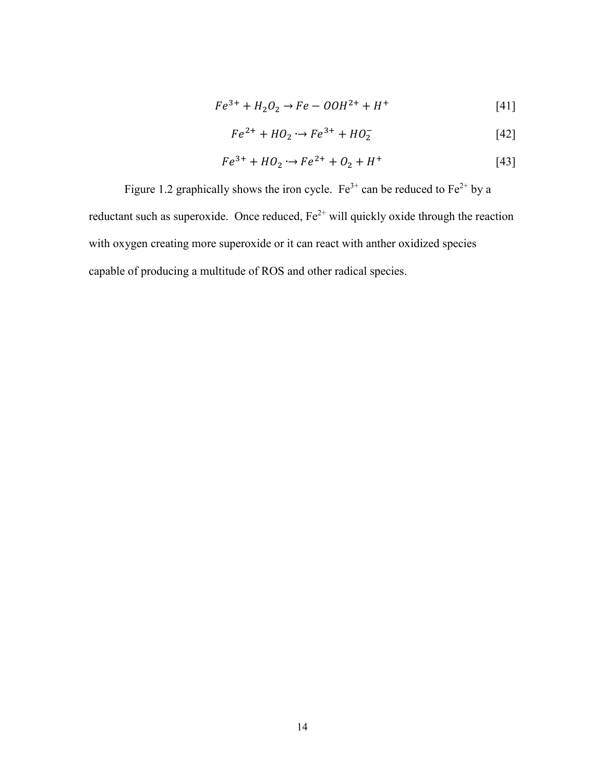$$
Fe^{3+} + H_2O_2 \rightarrow Fe - OOH^{2+} + H^+ \tag{41}
$$

$$
Fe^{2+} + HO_2 \rightarrow Fe^{3+} + HO_2^-
$$
 [42]

$$
Fe^{3+} + HO_2 \rightarrow Fe^{2+} + O_2 + H^+ \tag{43}
$$

Figure 1.2 graphically shows the iron cycle. Fe<sup>3+</sup> can be reduced to Fe<sup>2+</sup> by a reductant such as superoxide. Once reduced,  $Fe^{2+}$  will quickly oxide through the reaction with oxygen creating more superoxide or it can react with anther oxidized species capable of producing a multitude of ROS and other radical species.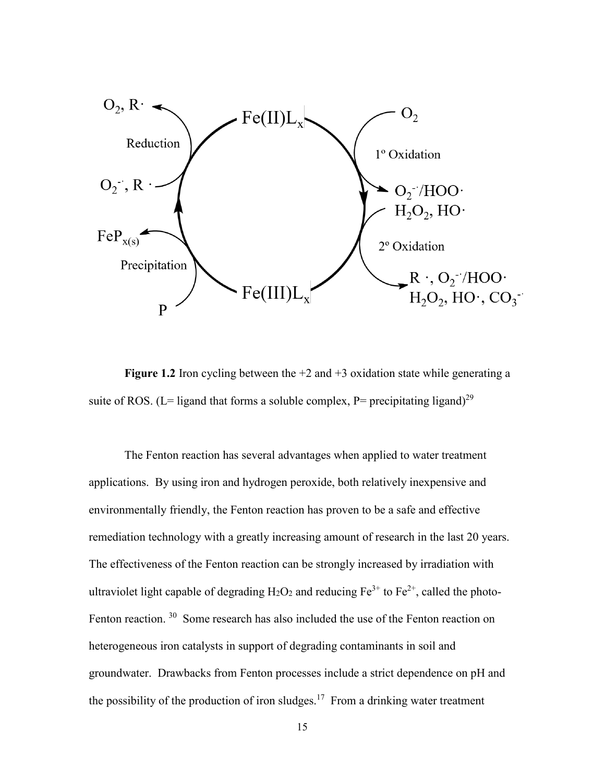

**Figure 1.2** Iron cycling between the +2 and +3 oxidation state while generating a suite of ROS. (L= ligand that forms a soluble complex, P= precipitating ligand)<sup>29</sup>

The Fenton reaction has several advantages when applied to water treatment applications. By using iron and hydrogen peroxide, both relatively inexpensive and environmentally friendly, the Fenton reaction has proven to be a safe and effective remediation technology with a greatly increasing amount of research in the last 20 years. The effectiveness of the Fenton reaction can be strongly increased by irradiation with ultraviolet light capable of degrading  $H_2O_2$  and reducing  $Fe^{3+}$  to  $Fe^{2+}$ , called the photo-Fenton reaction. <sup>30</sup> Some research has also included the use of the Fenton reaction on heterogeneous iron catalysts in support of degrading contaminants in soil and groundwater. Drawbacks from Fenton processes include a strict dependence on pH and the possibility of the production of iron sludges.<sup>17</sup> From a drinking water treatment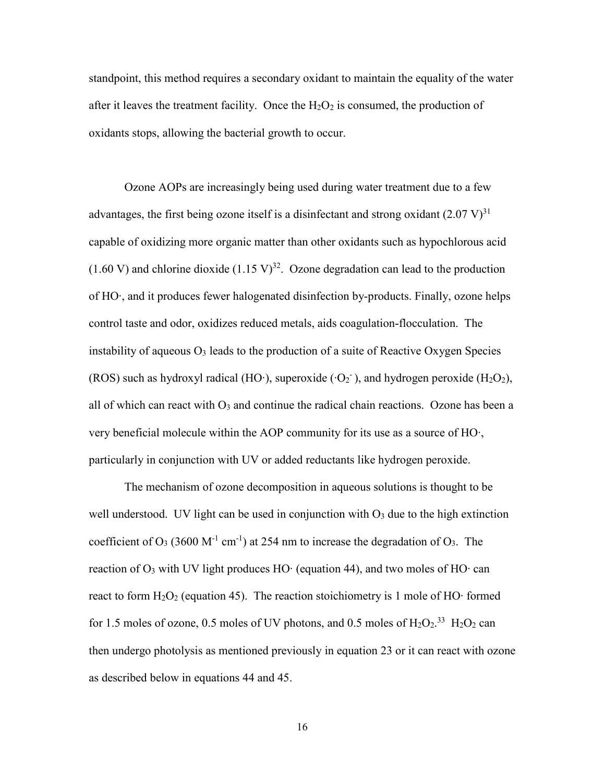standpoint, this method requires a secondary oxidant to maintain the equality of the water after it leaves the treatment facility. Once the  $H_2O_2$  is consumed, the production of oxidants stops, allowing the bacterial growth to occur.

Ozone AOPs are increasingly being used during water treatment due to a few advantages, the first being ozone itself is a disinfectant and strong oxidant  $(2.07 \text{ V})^{31}$ capable of oxidizing more organic matter than other oxidants such as hypochlorous acid (1.60 V) and chlorine dioxide  $(1.15 \text{ V})^{32}$ . Ozone degradation can lead to the production of HO∙, and it produces fewer halogenated disinfection by-products. Finally, ozone helps control taste and odor, oxidizes reduced metals, aids coagulation-flocculation. The instability of aqueous  $O_3$  leads to the production of a suite of Reactive Oxygen Species (ROS) such as hydroxyl radical (HO⋅), superoxide (⋅O2⋅), and hydrogen peroxide (H2O2), all of which can react with  $O_3$  and continue the radical chain reactions. Ozone has been a very beneficial molecule within the AOP community for its use as a source of HO∙, particularly in conjunction with UV or added reductants like hydrogen peroxide.

The mechanism of ozone decomposition in aqueous solutions is thought to be well understood. UV light can be used in conjunction with  $O_3$  due to the high extinction coefficient of  $O_3$  (3600 M<sup>-1</sup> cm<sup>-1</sup>) at 254 nm to increase the degradation of  $O_3$ . The reaction of  $O_3$  with UV light produces HO $\cdot$  (equation 44), and two moles of HO $\cdot$  can react to form  $H_2O_2$  (equation 45). The reaction stoichiometry is 1 mole of HO∙ formed for 1.5 moles of ozone, 0.5 moles of UV photons, and 0.5 moles of  $H_2O_2$ .<sup>33</sup>  $H_2O_2$  can then undergo photolysis as mentioned previously in equation 23 or it can react with ozone as described below in equations 44 and 45.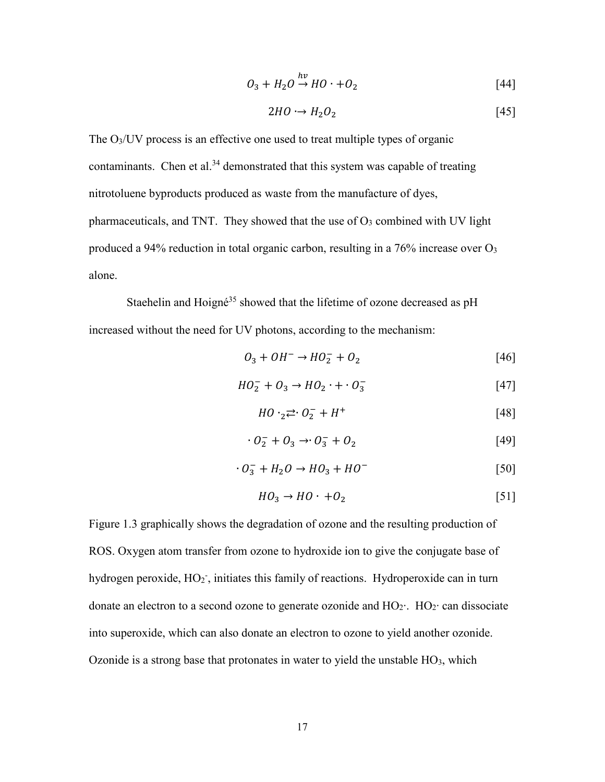$$
O_3 + H_2O \stackrel{hv}{\rightarrow} HO \cdot + O_2 \tag{44}
$$

$$
2HO \rightarrow H_2O_2 \tag{45}
$$

The  $O<sub>3</sub>/UV$  process is an effective one used to treat multiple types of organic contaminants. Chen et al. $34$  demonstrated that this system was capable of treating nitrotoluene byproducts produced as waste from the manufacture of dyes, pharmaceuticals, and TNT. They showed that the use of  $O<sub>3</sub>$  combined with UV light produced a 94% reduction in total organic carbon, resulting in a  $76\%$  increase over  $O<sub>3</sub>$ alone.

Staehelin and Hoigné<sup>35</sup> showed that the lifetime of ozone decreased as pH increased without the need for UV photons, according to the mechanism:

$$
O_3 + OH^- \to HO_2^- + O_2 \tag{46}
$$

$$
HO_2^- + O_3 \rightarrow HO_2 \cdot + \cdot O_3^- \tag{47}
$$

$$
HO \cdot_2 \rightleftarrows \cdot O_2^- + H^+ \tag{48}
$$

$$
\cdot \, \mathcal{O}_2^- + \mathcal{O}_3 \rightarrow \cdot \mathcal{O}_3^- + \mathcal{O}_2 \tag{49}
$$

$$
\cdot O_3^- + H_2O \rightarrow HO_3 + HO^- \tag{50}
$$

$$
HO_3 \to HO \cdot +O_2 \tag{51}
$$

Figure 1.3 graphically shows the degradation of ozone and the resulting production of ROS. Oxygen atom transfer from ozone to hydroxide ion to give the conjugate base of hydrogen peroxide,  $HO_2$ <sup>-</sup>, initiates this family of reactions. Hydroperoxide can in turn donate an electron to a second ozone to generate ozonide and HO2∙. HO2∙ can dissociate into superoxide, which can also donate an electron to ozone to yield another ozonide. Ozonide is a strong base that protonates in water to yield the unstable  $HO<sub>3</sub>$ , which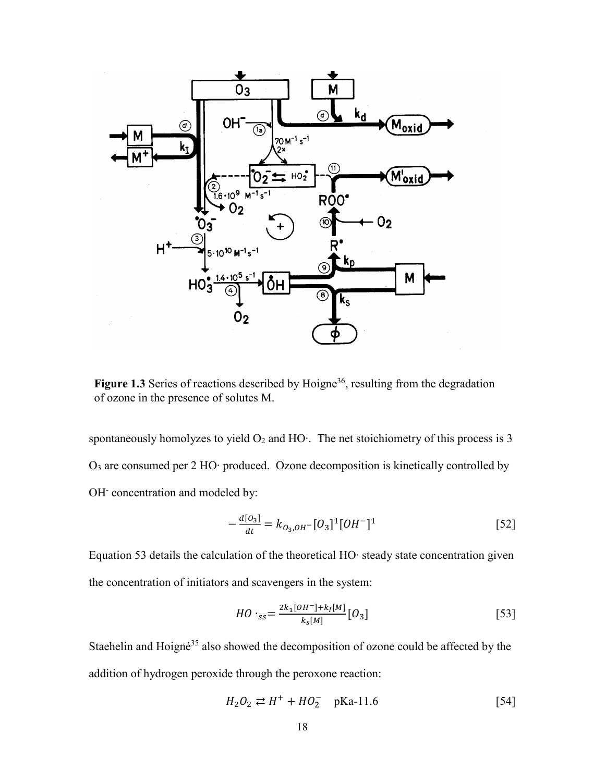

Figure 1.3 Series of reactions described by Hoigne<sup>36</sup>, resulting from the degradation of ozone in the presence of solutes M.

spontaneously homolyzes to yield O<sub>2</sub> and HO⋅. The net stoichiometry of this process is 3 O3 are consumed per 2 HO∙ produced. Ozone decomposition is kinetically controlled by OH<sup>-</sup> concentration and modeled by:

$$
-\frac{d[O_3]}{dt} = k_{O_3,OH^-}[O_3]^1[OH^-]^1
$$
\n[52]

Equation 53 details the calculation of the theoretical HO∙ steady state concentration given the concentration of initiators and scavengers in the system:

$$
HO \cdot_{ss} = \frac{2k_1[OH^-] + k_I[M]}{k_s[M]} [O_3]
$$
 [53]

Staehelin and Hoigné<sup>35</sup> also showed the decomposition of ozone could be affected by the addition of hydrogen peroxide through the peroxone reaction:

$$
H_2O_2 \rightleftarrows H^+ + HO_2^- \quad \text{pKa-11.6} \tag{54}
$$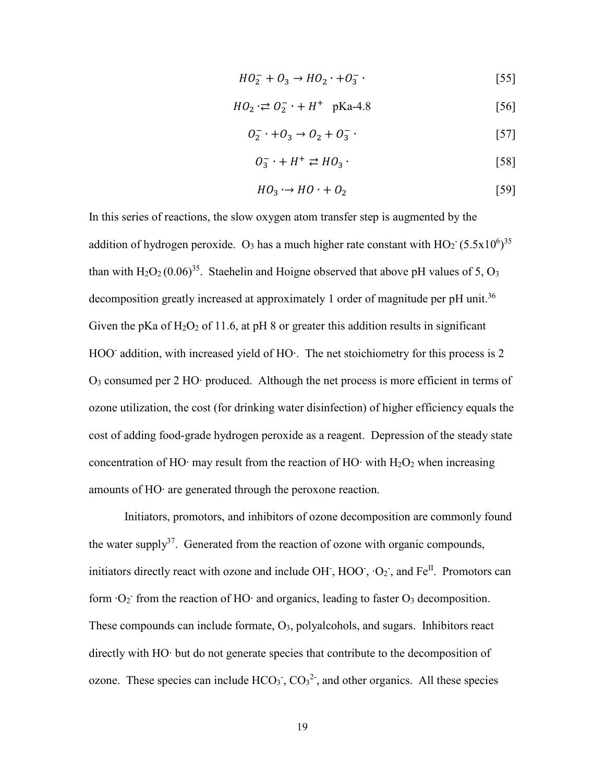$$
HO_2^- + O_3 \to HO_2 \cdot + O_3^- \tag{55}
$$

$$
HO_2 \n\div \n\mathcal{O}_2^- + H^+ \quad \text{pKa-4.8} \tag{56}
$$

$$
O_2^- \cdot + O_3 \to O_2 + O_3^- \cdot \tag{57}
$$

$$
O_3^- \cdot + H^+ \rightleftarrows H O_3 \tag{58}
$$

$$
HO_3 \rightarrow HO \cdot + O_2 \tag{59}
$$

In this series of reactions, the slow oxygen atom transfer step is augmented by the addition of hydrogen peroxide. O<sub>3</sub> has a much higher rate constant with  $HO_2^- (5.5 \times 10^6)^{35}$ than with  $H_2O_2(0.06)^{35}$ . Staehelin and Hoigne observed that above pH values of 5,  $O_3$ decomposition greatly increased at approximately 1 order of magnitude per pH unit.<sup>36</sup> Given the pKa of  $H_2O_2$  of 11.6, at pH 8 or greater this addition results in significant HOO<sup>-</sup> addition, with increased yield of HO⋅. The net stoichiometry for this process is 2 O3 consumed per 2 HO∙ produced. Although the net process is more efficient in terms of ozone utilization, the cost (for drinking water disinfection) of higher efficiency equals the cost of adding food-grade hydrogen peroxide as a reagent. Depression of the steady state concentration of HO⋅ may result from the reaction of HO⋅ with  $H_2O_2$  when increasing amounts of HO∙ are generated through the peroxone reaction.

Initiators, promotors, and inhibitors of ozone decomposition are commonly found the water supply<sup>37</sup>. Generated from the reaction of ozone with organic compounds, initiators directly react with ozone and include OH, HOO,  $\cdot$ O<sub>2</sub>, and Fe<sup>II</sup>. Promotors can form  $·O<sub>2</sub>$ <sup>-</sup> from the reaction of HO⋅ and organics, leading to faster O<sub>3</sub> decomposition. These compounds can include formate, O<sub>3</sub>, polyalcohols, and sugars. Inhibitors react directly with HO∙ but do not generate species that contribute to the decomposition of ozone. These species can include  $HCO<sub>3</sub>$ ,  $CO<sub>3</sub><sup>2</sup>$ , and other organics. All these species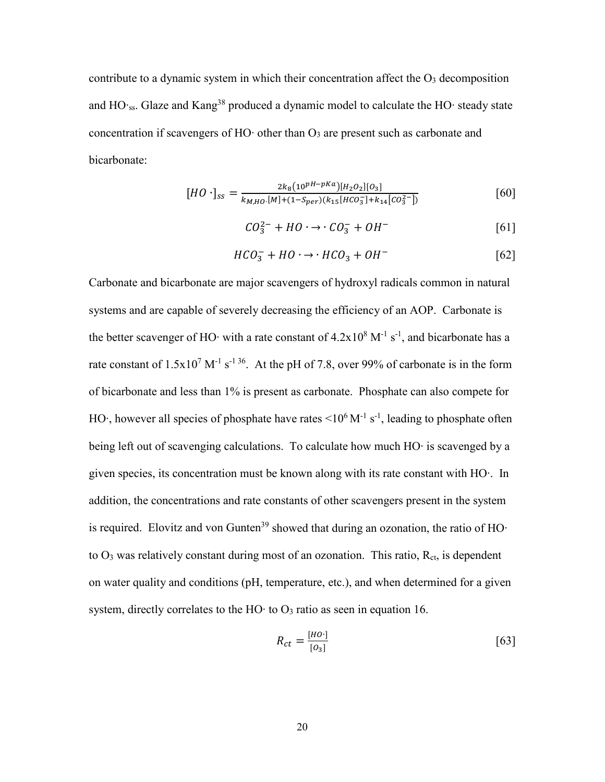contribute to a dynamic system in which their concentration affect the  $O<sub>3</sub>$  decomposition and HO∙ss. Glaze and Kang38 produced a dynamic model to calculate the HO∙ steady state concentration if scavengers of HO∙ other than O<sup>3</sup> are present such as carbonate and bicarbonate:

$$
[HO \cdot ]_{ss} = \frac{2k_8(10^{pH-pKa})[H_2O_2][O_3]}{k_{M,HO} \cdot [M] + (1 - S_{per})(k_{15}[HCO_3^{-}] + k_{14}[CO_3^{2-}])}
$$
 [60]

$$
CO_3^{2-} + HO \cdot \rightarrow \cdot CO_3^- + OH^-
$$
 [61]

$$
HCO_3^- + HO \cdot \rightarrow \cdot HCO_3 + OH^-
$$
 [62]

Carbonate and bicarbonate are major scavengers of hydroxyl radicals common in natural systems and are capable of severely decreasing the efficiency of an AOP. Carbonate is the better scavenger of HO∙ with a rate constant of  $4.2x10<sup>8</sup>$  M<sup>-1</sup> s<sup>-1</sup>, and bicarbonate has a rate constant of  $1.5x10^7$  M<sup>-1</sup> s<sup>-1 36</sup>. At the pH of 7.8, over 99% of carbonate is in the form of bicarbonate and less than 1% is present as carbonate. Phosphate can also compete for HO∙, however all species of phosphate have rates <10<sup>6</sup> M<sup>-1</sup> s<sup>-1</sup>, leading to phosphate often being left out of scavenging calculations. To calculate how much HO∙ is scavenged by a given species, its concentration must be known along with its rate constant with HO∙. In addition, the concentrations and rate constants of other scavengers present in the system is required. Elovitz and von Gunten<sup>39</sup> showed that during an ozonation, the ratio of HO $\cdot$ to  $O_3$  was relatively constant during most of an ozonation. This ratio,  $R_{\rm ct}$ , is dependent on water quality and conditions (pH, temperature, etc.), and when determined for a given system, directly correlates to the HO⋅ to  $O_3$  ratio as seen in equation 16.

$$
R_{ct} = \frac{[HO \cdot ]}{[O_3]}
$$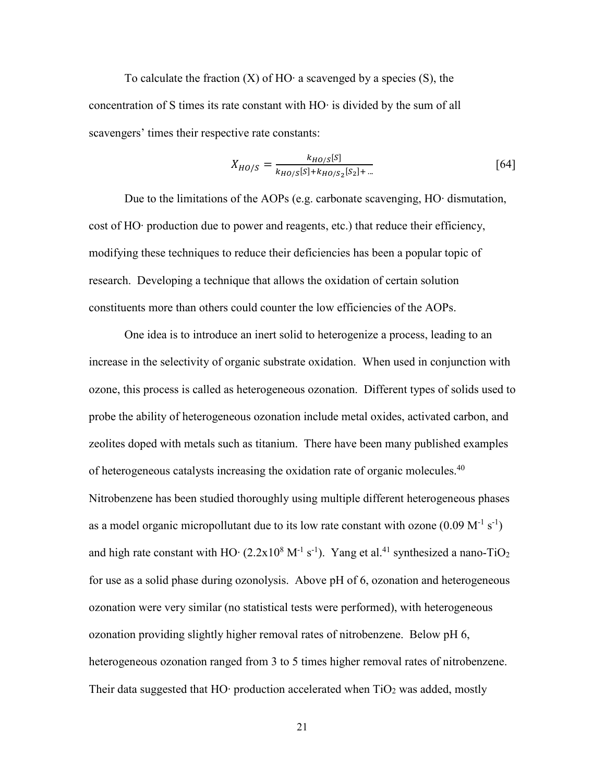To calculate the fraction (X) of HO∙ a scavenged by a species (S), the concentration of S times its rate constant with HO∙ is divided by the sum of all scavengers' times their respective rate constants:

$$
X_{HO/S} = \frac{k_{HO/S}[S]}{k_{HO/S}[S] + k_{HO/S_2}[S_2] + ...}
$$
 [64]

Due to the limitations of the AOPs (e.g. carbonate scavenging, HO∙ dismutation, cost of HO∙ production due to power and reagents, etc.) that reduce their efficiency, modifying these techniques to reduce their deficiencies has been a popular topic of research. Developing a technique that allows the oxidation of certain solution constituents more than others could counter the low efficiencies of the AOPs.

One idea is to introduce an inert solid to heterogenize a process, leading to an increase in the selectivity of organic substrate oxidation. When used in conjunction with ozone, this process is called as heterogeneous ozonation. Different types of solids used to probe the ability of heterogeneous ozonation include metal oxides, activated carbon, and zeolites doped with metals such as titanium. There have been many published examples of heterogeneous catalysts increasing the oxidation rate of organic molecules.<sup>40</sup> Nitrobenzene has been studied thoroughly using multiple different heterogeneous phases as a model organic micropollutant due to its low rate constant with ozone  $(0.09 \text{ M}^{-1} \text{ s}^{-1})$ and high rate constant with HO⋅ (2.2x10<sup>8</sup> M<sup>-1</sup> s<sup>-1</sup>). Yang et al.<sup>41</sup> synthesized a nano-TiO<sub>2</sub> for use as a solid phase during ozonolysis. Above pH of 6, ozonation and heterogeneous ozonation were very similar (no statistical tests were performed), with heterogeneous ozonation providing slightly higher removal rates of nitrobenzene. Below pH 6, heterogeneous ozonation ranged from 3 to 5 times higher removal rates of nitrobenzene. Their data suggested that HO⋅ production accelerated when  $TiO<sub>2</sub>$  was added, mostly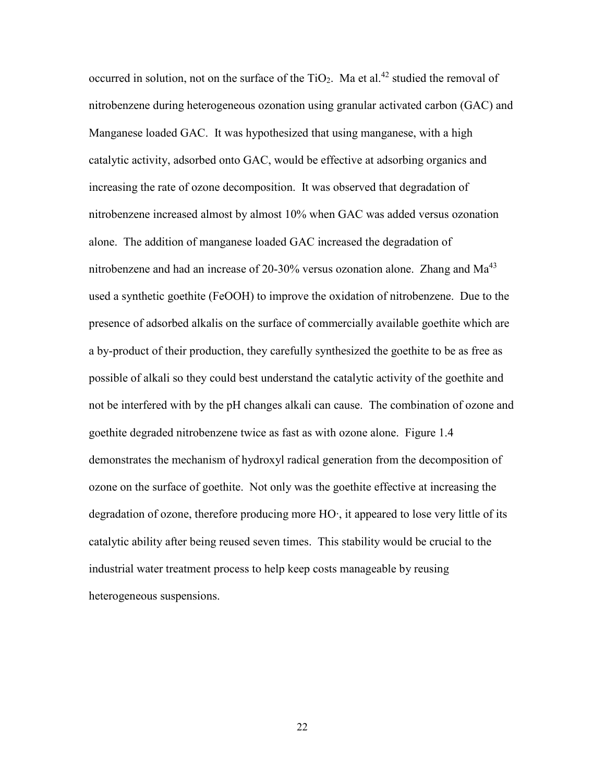occurred in solution, not on the surface of the  $TiO<sub>2</sub>$ . Ma et al.<sup>42</sup> studied the removal of nitrobenzene during heterogeneous ozonation using granular activated carbon (GAC) and Manganese loaded GAC. It was hypothesized that using manganese, with a high catalytic activity, adsorbed onto GAC, would be effective at adsorbing organics and increasing the rate of ozone decomposition. It was observed that degradation of nitrobenzene increased almost by almost 10% when GAC was added versus ozonation alone. The addition of manganese loaded GAC increased the degradation of nitrobenzene and had an increase of 20-30% versus ozonation alone. Zhang and  $Ma<sup>43</sup>$ used a synthetic goethite (FeOOH) to improve the oxidation of nitrobenzene. Due to the presence of adsorbed alkalis on the surface of commercially available goethite which are a by-product of their production, they carefully synthesized the goethite to be as free as possible of alkali so they could best understand the catalytic activity of the goethite and not be interfered with by the pH changes alkali can cause. The combination of ozone and goethite degraded nitrobenzene twice as fast as with ozone alone. Figure 1.4 demonstrates the mechanism of hydroxyl radical generation from the decomposition of ozone on the surface of goethite. Not only was the goethite effective at increasing the degradation of ozone, therefore producing more HO∙, it appeared to lose very little of its catalytic ability after being reused seven times. This stability would be crucial to the industrial water treatment process to help keep costs manageable by reusing heterogeneous suspensions.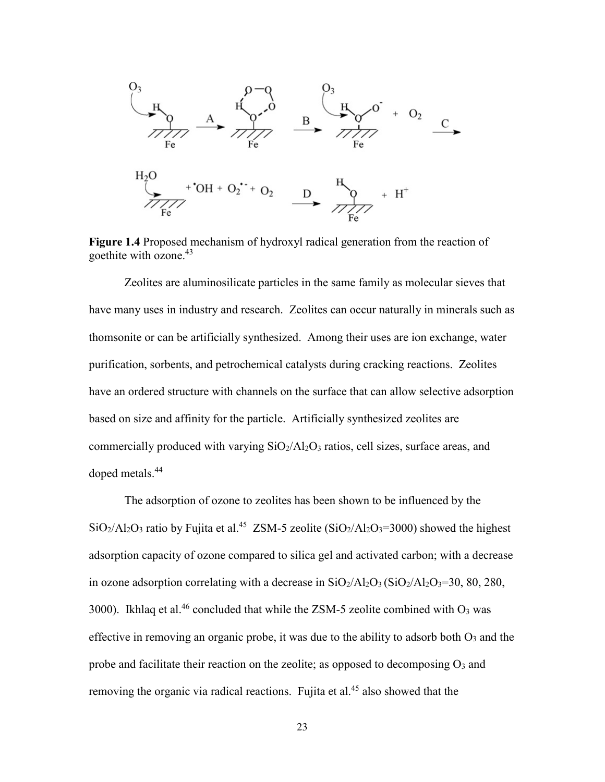

**Figure 1.4** Proposed mechanism of hydroxyl radical generation from the reaction of goethite with ozone.43

Zeolites are aluminosilicate particles in the same family as molecular sieves that have many uses in industry and research. Zeolites can occur naturally in minerals such as thomsonite or can be artificially synthesized. Among their uses are ion exchange, water purification, sorbents, and petrochemical catalysts during cracking reactions. Zeolites have an ordered structure with channels on the surface that can allow selective adsorption based on size and affinity for the particle. Artificially synthesized zeolites are commercially produced with varying  $SiO<sub>2</sub>/Al<sub>2</sub>O<sub>3</sub>$  ratios, cell sizes, surface areas, and doped metals.<sup>44</sup>

The adsorption of ozone to zeolites has been shown to be influenced by the  $SiO_2/Al_2O_3$  ratio by Fujita et al.<sup>45</sup> ZSM-5 zeolite ( $SiO_2/Al_2O_3=3000$ ) showed the highest adsorption capacity of ozone compared to silica gel and activated carbon; with a decrease in ozone adsorption correlating with a decrease in  $SiO<sub>2</sub>/Al<sub>2</sub>O<sub>3</sub>(SiO<sub>2</sub>/Al<sub>2</sub>O<sub>3</sub>=30, 80, 280,$ 3000). Ikhlaq et al.<sup>46</sup> concluded that while the ZSM-5 zeolite combined with  $O_3$  was effective in removing an organic probe, it was due to the ability to adsorb both  $O_3$  and the probe and facilitate their reaction on the zeolite; as opposed to decomposing  $O_3$  and removing the organic via radical reactions. Fujita et al.<sup>45</sup> also showed that the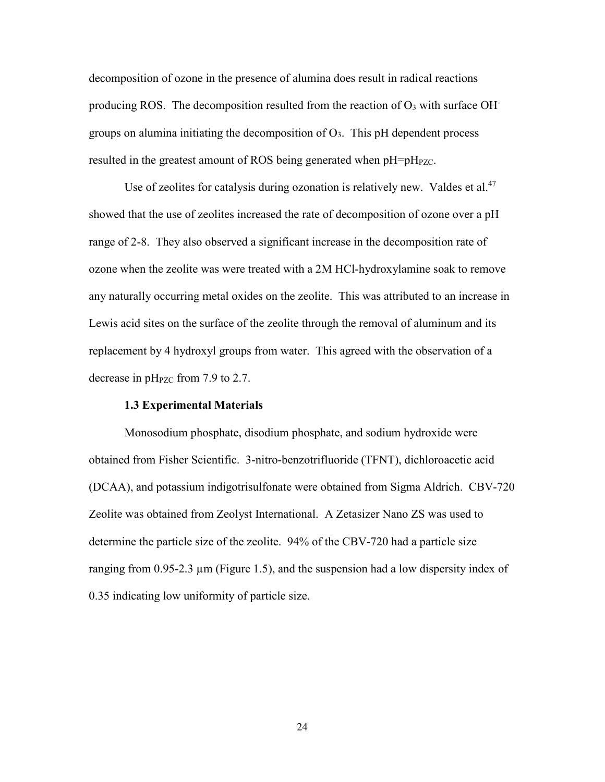decomposition of ozone in the presence of alumina does result in radical reactions producing ROS. The decomposition resulted from the reaction of  $O_3$  with surface OH groups on alumina initiating the decomposition of  $O_3$ . This pH dependent process resulted in the greatest amount of ROS being generated when pH=pH<sub>PZC</sub>.

Use of zeolites for catalysis during ozonation is relatively new. Valdes et al.<sup>47</sup> showed that the use of zeolites increased the rate of decomposition of ozone over a pH range of 2-8. They also observed a significant increase in the decomposition rate of ozone when the zeolite was were treated with a 2M HCl-hydroxylamine soak to remove any naturally occurring metal oxides on the zeolite. This was attributed to an increase in Lewis acid sites on the surface of the zeolite through the removal of aluminum and its replacement by 4 hydroxyl groups from water. This agreed with the observation of a decrease in  $pH<sub>PZC</sub>$  from 7.9 to 2.7.

#### **1.3 Experimental Materials**

Monosodium phosphate, disodium phosphate, and sodium hydroxide were obtained from Fisher Scientific. 3-nitro-benzotrifluoride (TFNT), dichloroacetic acid (DCAA), and potassium indigotrisulfonate were obtained from Sigma Aldrich. CBV-720 Zeolite was obtained from Zeolyst International. A Zetasizer Nano ZS was used to determine the particle size of the zeolite. 94% of the CBV-720 had a particle size ranging from 0.95-2.3  $\mu$ m (Figure 1.5), and the suspension had a low dispersity index of 0.35 indicating low uniformity of particle size.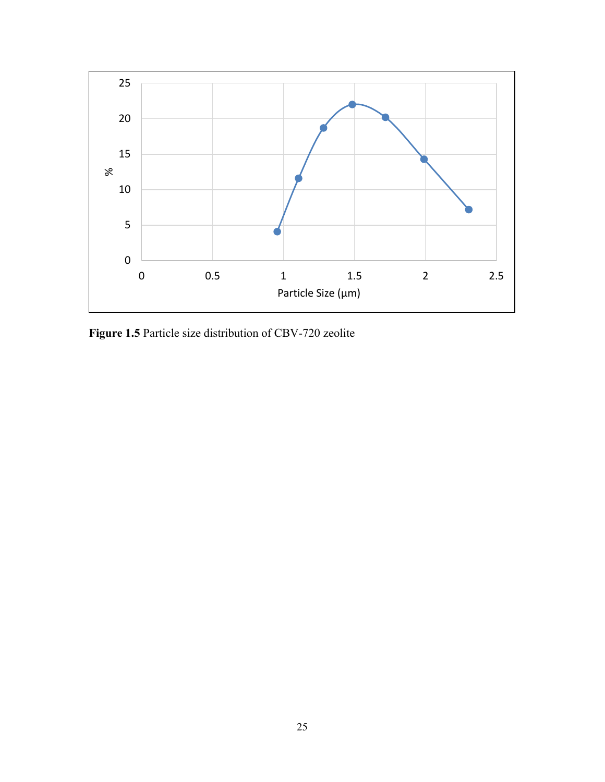

**Figure 1.5** Particle size distribution of CBV-720 zeolite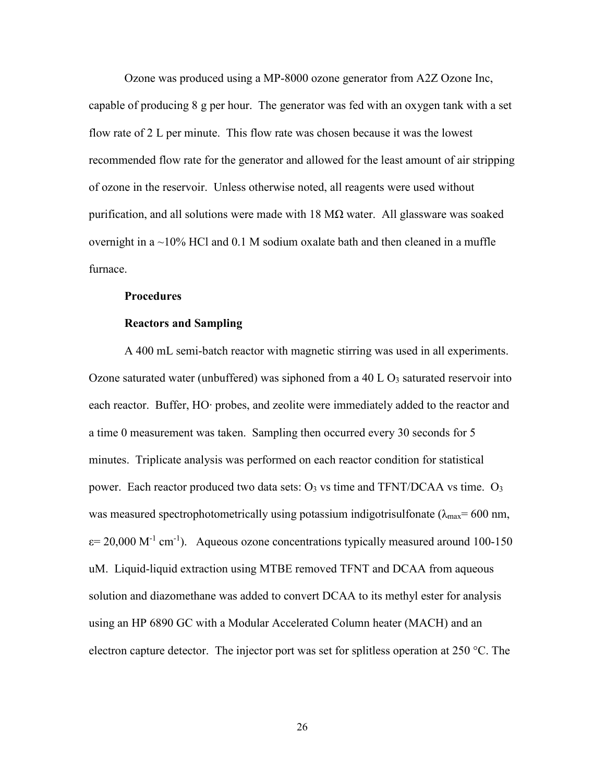Ozone was produced using a MP-8000 ozone generator from A2Z Ozone Inc, capable of producing 8 g per hour. The generator was fed with an oxygen tank with a set flow rate of 2 L per minute. This flow rate was chosen because it was the lowest recommended flow rate for the generator and allowed for the least amount of air stripping of ozone in the reservoir. Unless otherwise noted, all reagents were used without purification, and all solutions were made with  $18 \text{ M}\Omega$  water. All glassware was soaked overnight in a  $\sim$ 10% HCl and 0.1 M sodium oxalate bath and then cleaned in a muffle furnace.

#### **Procedures**

#### **Reactors and Sampling**

A 400 mL semi-batch reactor with magnetic stirring was used in all experiments. Ozone saturated water (unbuffered) was siphoned from a 40 L  $O_3$  saturated reservoir into each reactor. Buffer, HO∙ probes, and zeolite were immediately added to the reactor and a time 0 measurement was taken. Sampling then occurred every 30 seconds for 5 minutes. Triplicate analysis was performed on each reactor condition for statistical power. Each reactor produced two data sets:  $O_3$  vs time and TFNT/DCAA vs time.  $O_3$ was measured spectrophotometrically using potassium indigotrisulfonate ( $\lambda_{\text{max}}$ = 600 nm,  $\varepsilon$  = 20,000 M<sup>-1</sup> cm<sup>-1</sup>). Aqueous ozone concentrations typically measured around 100-150 uM. Liquid-liquid extraction using MTBE removed TFNT and DCAA from aqueous solution and diazomethane was added to convert DCAA to its methyl ester for analysis using an HP 6890 GC with a Modular Accelerated Column heater (MACH) and an electron capture detector. The injector port was set for splitless operation at 250 °C. The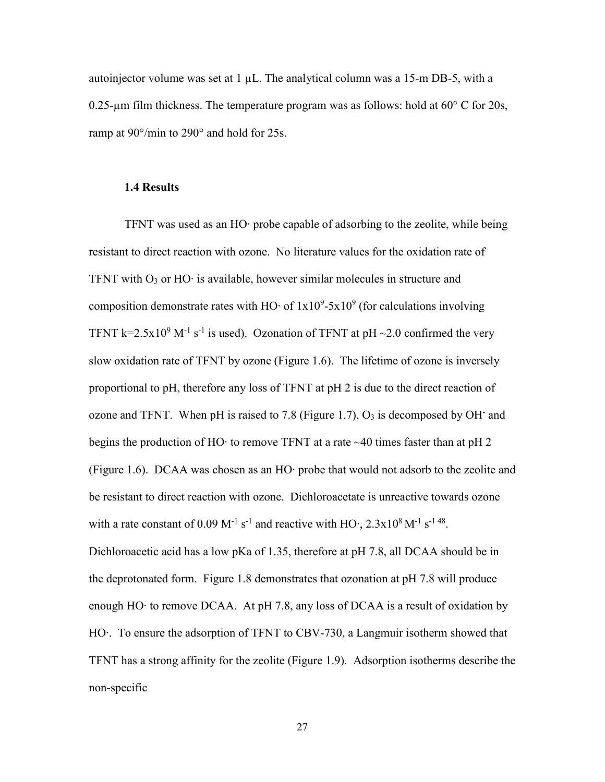autoinjector volume was set at  $1 \mu L$ . The analytical column was a 15-m DB-5, with a 0.25-µm film thickness. The temperature program was as follows: hold at  $60^{\circ}$  C for 20s, ramp at 90°/min to 290° and hold for 25s.

#### **1.4 Results**

TFNT was used as an HO∙ probe capable of adsorbing to the zeolite, while being resistant to direct reaction with ozone. No literature values for the oxidation rate of TFNT with O3 or HO∙ is available, however similar molecules in structure and composition demonstrate rates with HO⋅ of  $1x10<sup>9</sup>$ -5x10<sup>9</sup> (for calculations involving TFNT k=2.5x10<sup>9</sup> M<sup>-1</sup> s<sup>-1</sup> is used). Ozonation of TFNT at pH ~2.0 confirmed the very slow oxidation rate of TFNT by ozone (Figure 1.6). The lifetime of ozone is inversely proportional to pH, therefore any loss of TFNT at pH 2 is due to the direct reaction of ozone and TFNT. When pH is raised to 7.8 (Figure 1.7),  $O_3$  is decomposed by OH and begins the production of HO⋅ to remove TFNT at a rate  $\sim$ 40 times faster than at pH 2 (Figure 1.6). DCAA was chosen as an HO∙ probe that would not adsorb to the zeolite and be resistant to direct reaction with ozone. Dichloroacetate is unreactive towards ozone with a rate constant of 0.09 M<sup>-1</sup> s<sup>-1</sup> and reactive with HO⋅,  $2.3x10^8$  M<sup>-1</sup> s<sup>-1 48</sup>. Dichloroacetic acid has a low pKa of 1.35, therefore at pH 7.8, all DCAA should be in the deprotonated form. Figure 1.8 demonstrates that ozonation at pH 7.8 will produce enough HO∙ to remove DCAA. At pH 7.8, any loss of DCAA is a result of oxidation by HO∙. To ensure the adsorption of TFNT to CBV-730, a Langmuir isotherm showed that TFNT has a strong affinity for the zeolite (Figure 1.9). Adsorption isotherms describe the non-specific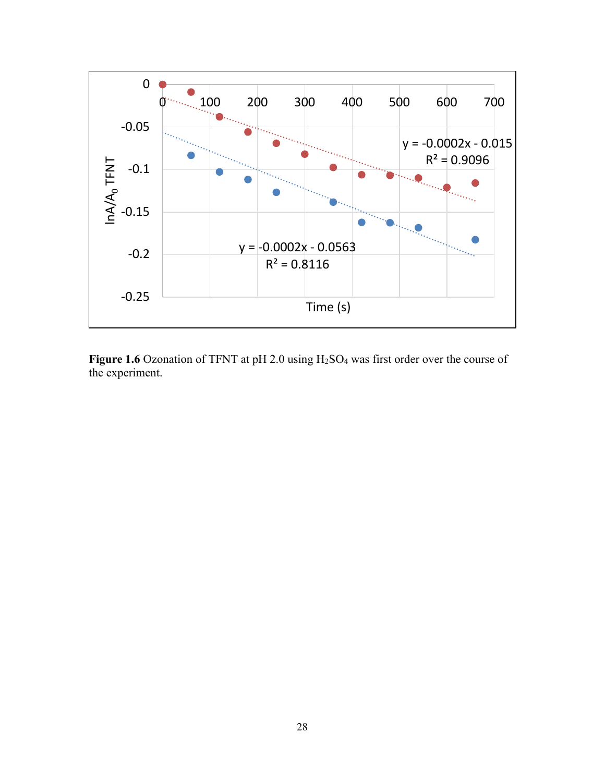

Figure 1.6 Ozonation of TFNT at pH 2.0 using H<sub>2</sub>SO<sub>4</sub> was first order over the course of the experiment.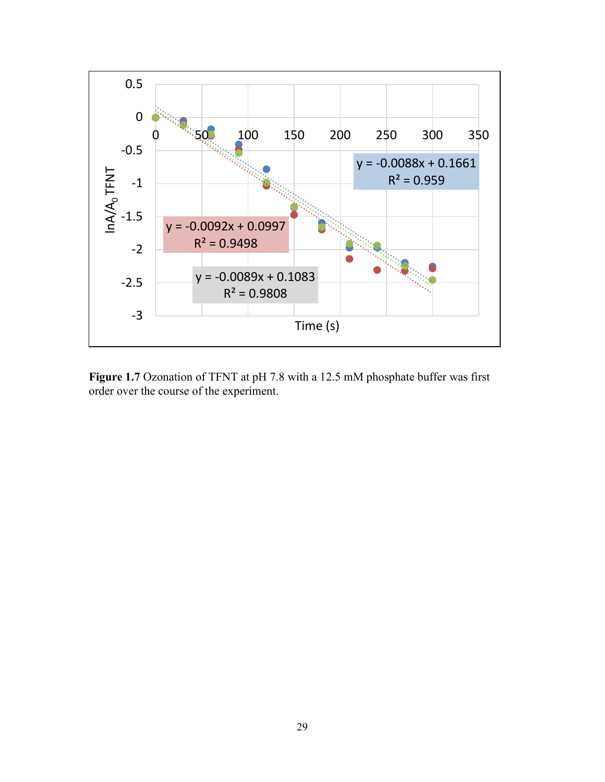

**Figure 1.7** Ozonation of TFNT at pH 7.8 with a 12.5 mM phosphate buffer was first order over the course of the experiment.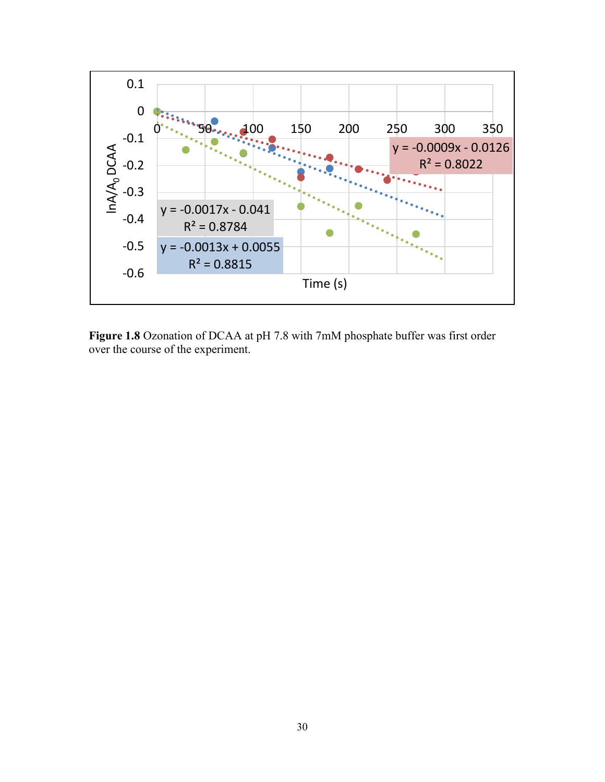

**Figure 1.8** Ozonation of DCAA at pH 7.8 with 7mM phosphate buffer was first order over the course of the experiment.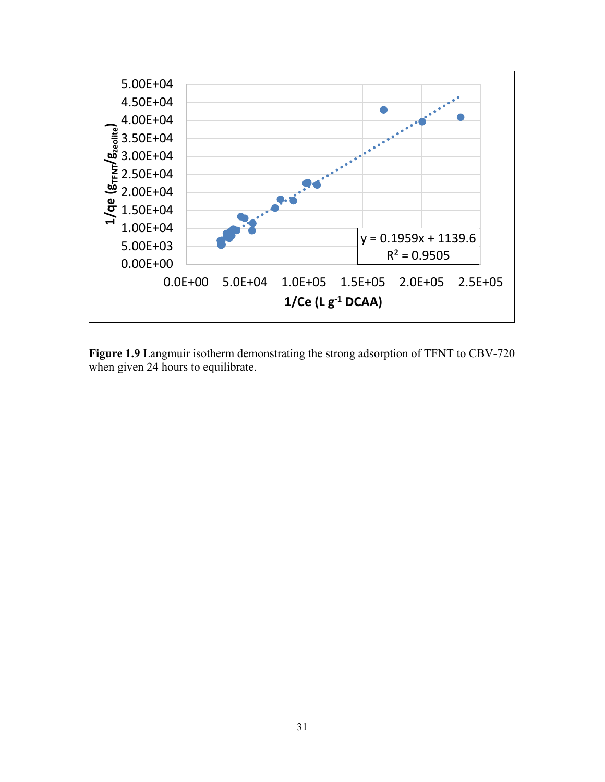

**Figure 1.9** Langmuir isotherm demonstrating the strong adsorption of TFNT to CBV-720 when given 24 hours to equilibrate.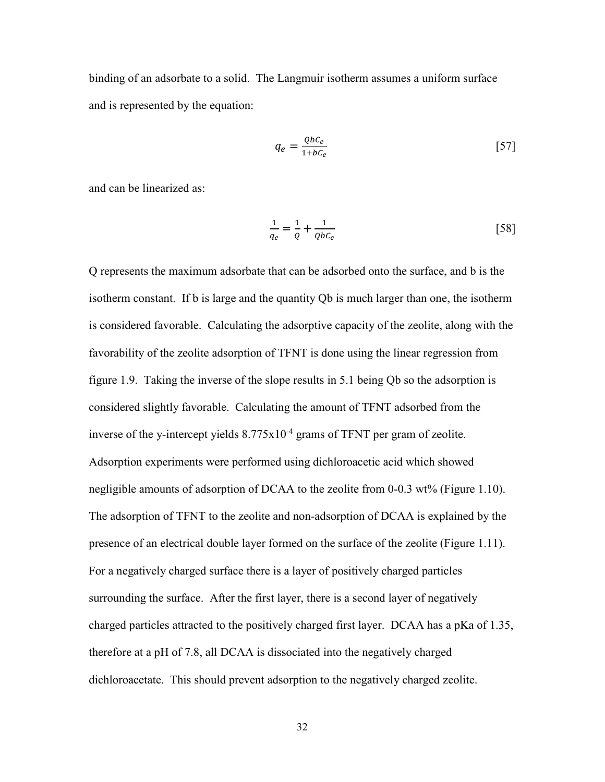binding of an adsorbate to a solid. The Langmuir isotherm assumes a uniform surface and is represented by the equation:

$$
q_e = \frac{QbC_e}{1 + bC_e} \tag{57}
$$

and can be linearized as:

$$
\frac{1}{q_e} = \frac{1}{Q} + \frac{1}{QbC_e} \tag{58}
$$

Q represents the maximum adsorbate that can be adsorbed onto the surface, and b is the isotherm constant. If b is large and the quantity Qb is much larger than one, the isotherm is considered favorable. Calculating the adsorptive capacity of the zeolite, along with the favorability of the zeolite adsorption of TFNT is done using the linear regression from figure 1.9. Taking the inverse of the slope results in 5.1 being Qb so the adsorption is considered slightly favorable. Calculating the amount of TFNT adsorbed from the inverse of the y-intercept yields  $8.775 \times 10^{-4}$  grams of TFNT per gram of zeolite. Adsorption experiments were performed using dichloroacetic acid which showed negligible amounts of adsorption of DCAA to the zeolite from 0-0.3 wt% (Figure 1.10). The adsorption of TFNT to the zeolite and non-adsorption of DCAA is explained by the presence of an electrical double layer formed on the surface of the zeolite (Figure 1.11). For a negatively charged surface there is a layer of positively charged particles surrounding the surface. After the first layer, there is a second layer of negatively charged particles attracted to the positively charged first layer. DCAA has a pKa of 1.35, therefore at a pH of 7.8, all DCAA is dissociated into the negatively charged dichloroacetate. This should prevent adsorption to the negatively charged zeolite.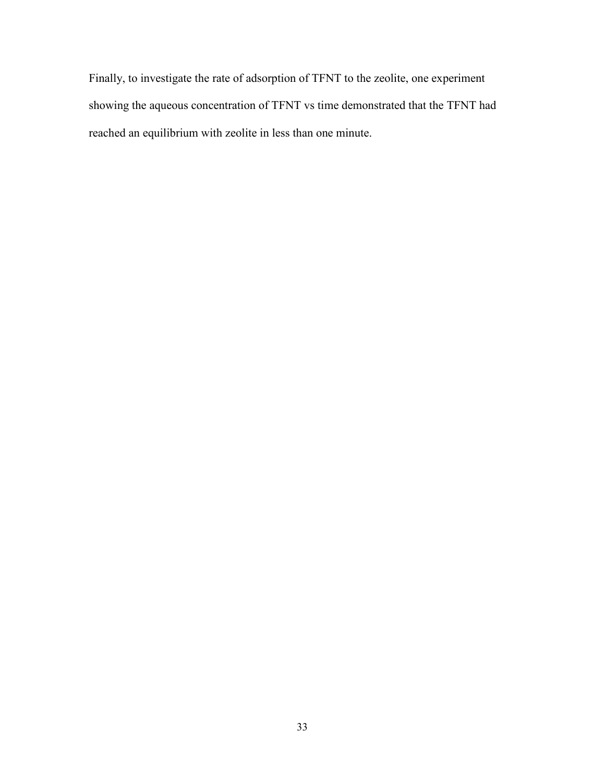Finally, to investigate the rate of adsorption of TFNT to the zeolite, one experiment showing the aqueous concentration of TFNT vs time demonstrated that the TFNT had reached an equilibrium with zeolite in less than one minute.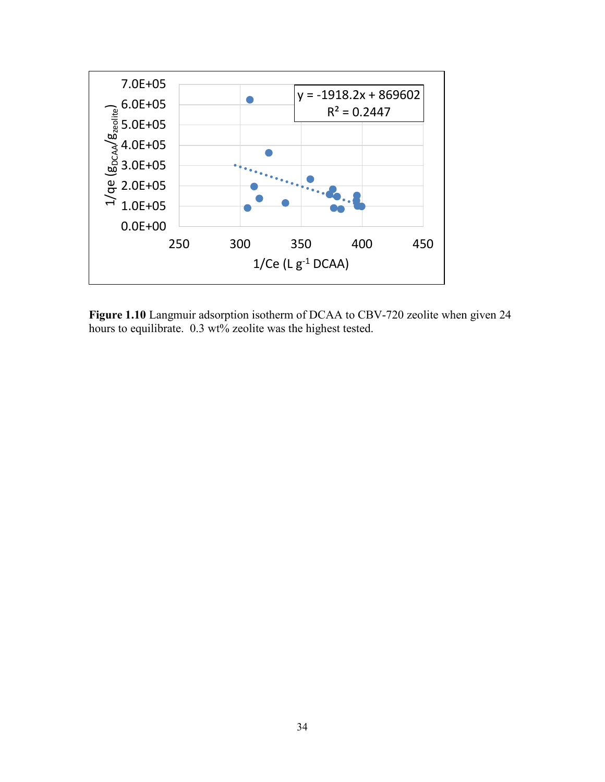

**Figure 1.10** Langmuir adsorption isotherm of DCAA to CBV-720 zeolite when given 24 hours to equilibrate. 0.3 wt% zeolite was the highest tested.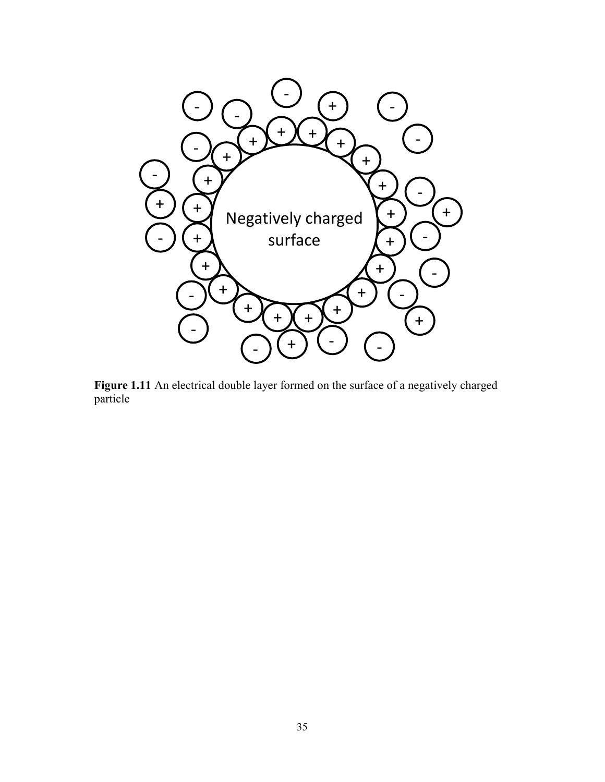

Figure 1.11 An electrical double layer formed on the surface of a negatively charged particle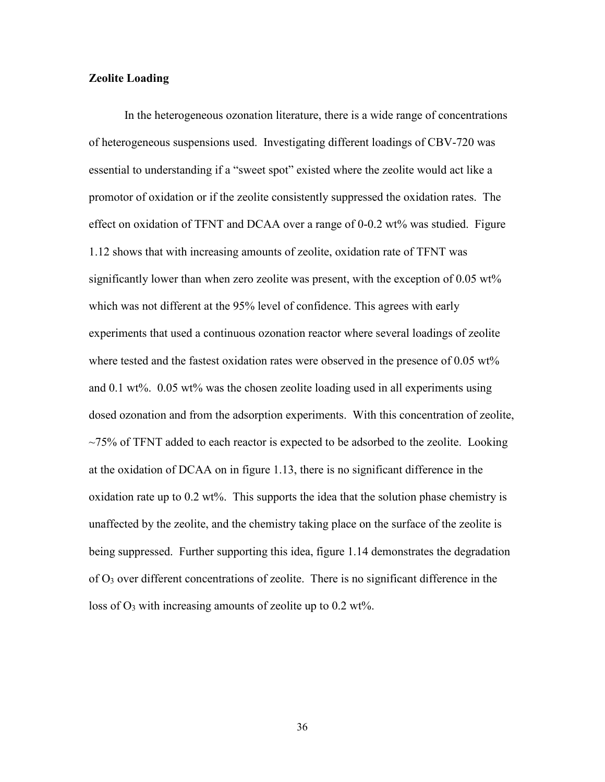#### **Zeolite Loading**

In the heterogeneous ozonation literature, there is a wide range of concentrations of heterogeneous suspensions used. Investigating different loadings of CBV-720 was essential to understanding if a "sweet spot" existed where the zeolite would act like a promotor of oxidation or if the zeolite consistently suppressed the oxidation rates. The effect on oxidation of TFNT and DCAA over a range of 0-0.2 wt% was studied. Figure 1.12 shows that with increasing amounts of zeolite, oxidation rate of TFNT was significantly lower than when zero zeolite was present, with the exception of  $0.05 \text{ wt\%}$ which was not different at the 95% level of confidence. This agrees with early experiments that used a continuous ozonation reactor where several loadings of zeolite where tested and the fastest oxidation rates were observed in the presence of 0.05 wt% and 0.1 wt%. 0.05 wt% was the chosen zeolite loading used in all experiments using dosed ozonation and from the adsorption experiments. With this concentration of zeolite,  $\sim$ 75% of TFNT added to each reactor is expected to be adsorbed to the zeolite. Looking at the oxidation of DCAA on in figure 1.13, there is no significant difference in the oxidation rate up to 0.2 wt%. This supports the idea that the solution phase chemistry is unaffected by the zeolite, and the chemistry taking place on the surface of the zeolite is being suppressed. Further supporting this idea, figure 1.14 demonstrates the degradation of  $O_3$  over different concentrations of zeolite. There is no significant difference in the loss of  $O_3$  with increasing amounts of zeolite up to 0.2 wt%.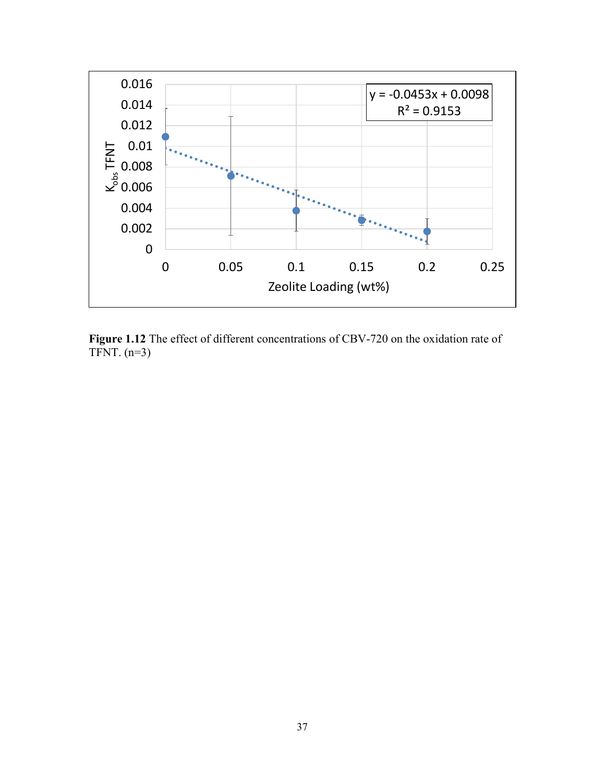

**Figure 1.12** The effect of different concentrations of CBV-720 on the oxidation rate of TFNT.  $(n=3)$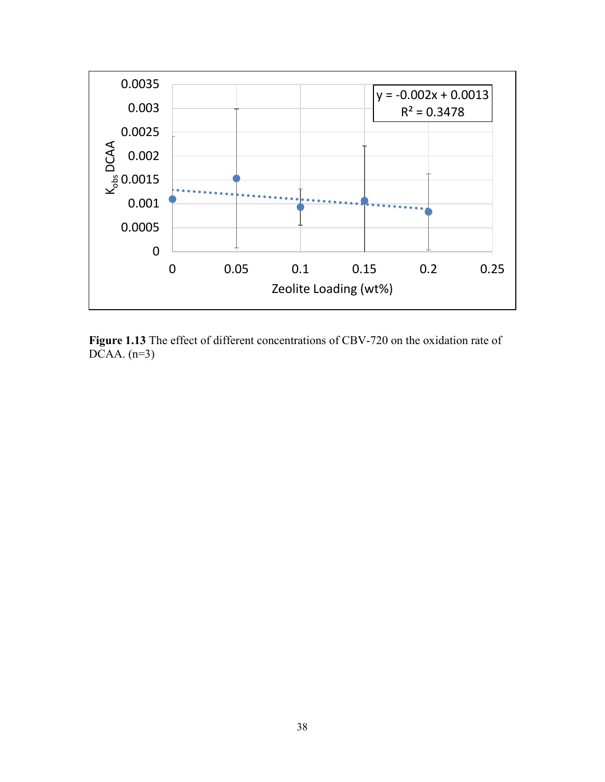

**Figure 1.13** The effect of different concentrations of CBV-720 on the oxidation rate of DCAA.  $(n=3)$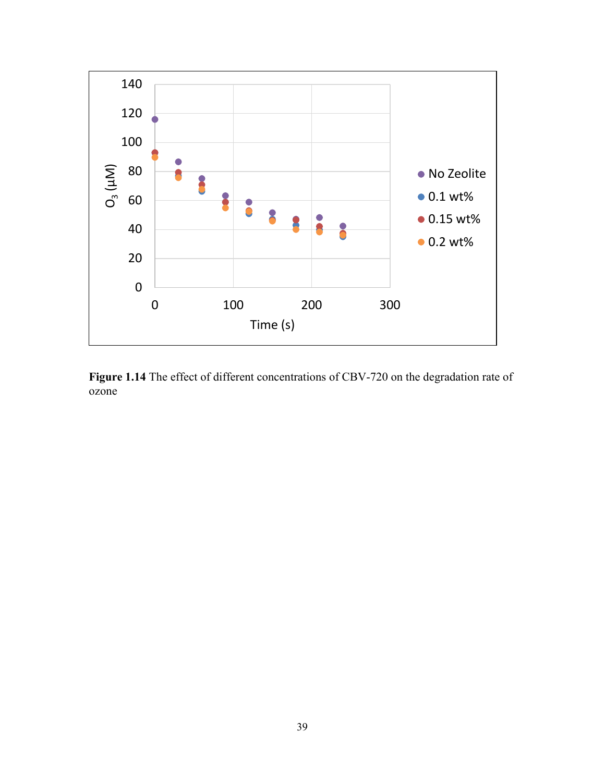

**Figure 1.14** The effect of different concentrations of CBV-720 on the degradation rate of ozone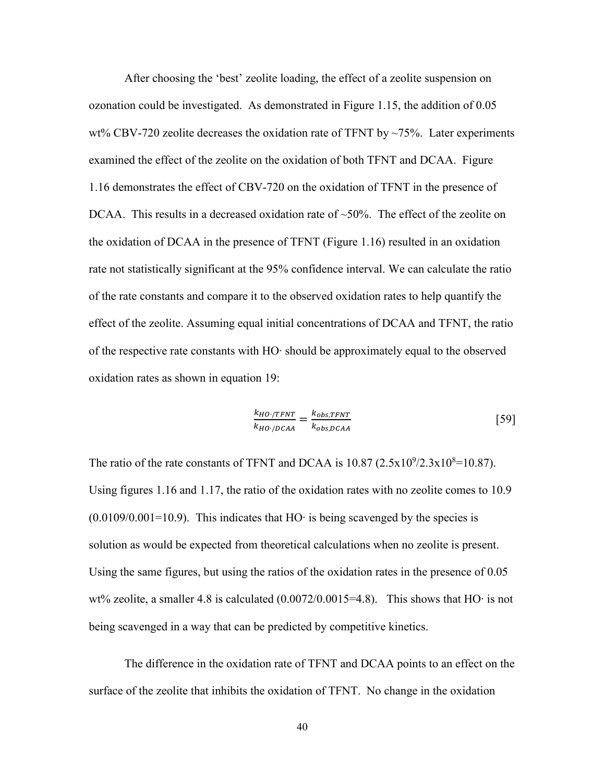After choosing the 'best' zeolite loading, the effect of a zeolite suspension on ozonation could be investigated. As demonstrated in Figure 1.15, the addition of 0.05 wt% CBV-720 zeolite decreases the oxidation rate of TFNT by  $\sim$ 75%. Later experiments examined the effect of the zeolite on the oxidation of both TFNT and DCAA. Figure 1.16 demonstrates the effect of CBV-720 on the oxidation of TFNT in the presence of DCAA. This results in a decreased oxidation rate of  $\sim$ 50%. The effect of the zeolite on the oxidation of DCAA in the presence of TFNT (Figure 1.16) resulted in an oxidation rate not statistically significant at the 95% confidence interval. We can calculate the ratio of the rate constants and compare it to the observed oxidation rates to help quantify the effect of the zeolite. Assuming equal initial concentrations of DCAA and TFNT, the ratio of the respective rate constants with HO∙ should be approximately equal to the observed oxidation rates as shown in equation 19:

$$
\frac{k_{HO}/TFNT}{k_{HO}/DCAA} = \frac{k_{obs,TFNT}}{k_{obs,DCAA}} \tag{59}
$$

The ratio of the rate constants of TFNT and DCAA is  $10.87 (2.5 \times 10^9 / 2.3 \times 10^8 = 10.87)$ . Using figures 1.16 and 1.17, the ratio of the oxidation rates with no zeolite comes to 10.9 (0.0109/0.001=10.9). This indicates that HO∙ is being scavenged by the species is solution as would be expected from theoretical calculations when no zeolite is present. Using the same figures, but using the ratios of the oxidation rates in the presence of 0.05 wt% zeolite, a smaller 4.8 is calculated (0.0072/0.0015=4.8). This shows that HO∙ is not being scavenged in a way that can be predicted by competitive kinetics.

The difference in the oxidation rate of TFNT and DCAA points to an effect on the surface of the zeolite that inhibits the oxidation of TFNT. No change in the oxidation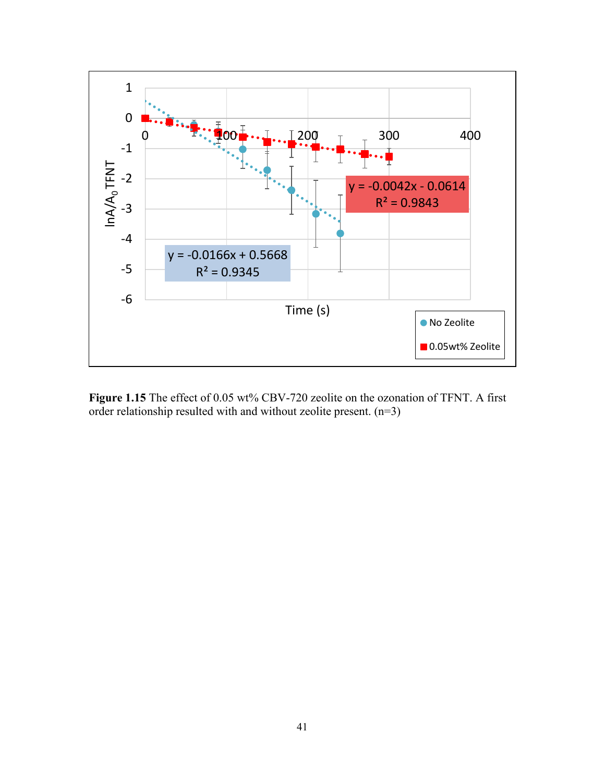

**Figure 1.15** The effect of 0.05 wt% CBV-720 zeolite on the ozonation of TFNT. A first order relationship resulted with and without zeolite present. (n=3)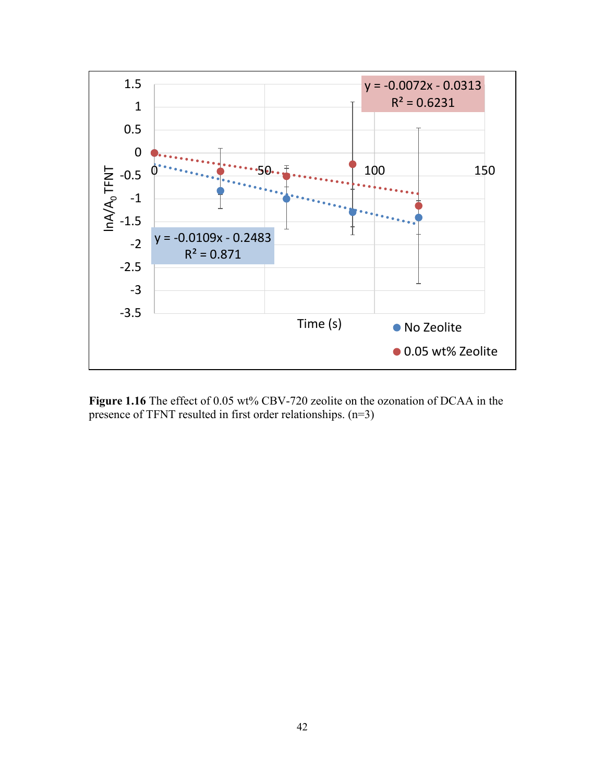

**Figure 1.16** The effect of 0.05 wt% CBV-720 zeolite on the ozonation of DCAA in the presence of TFNT resulted in first order relationships. (n=3)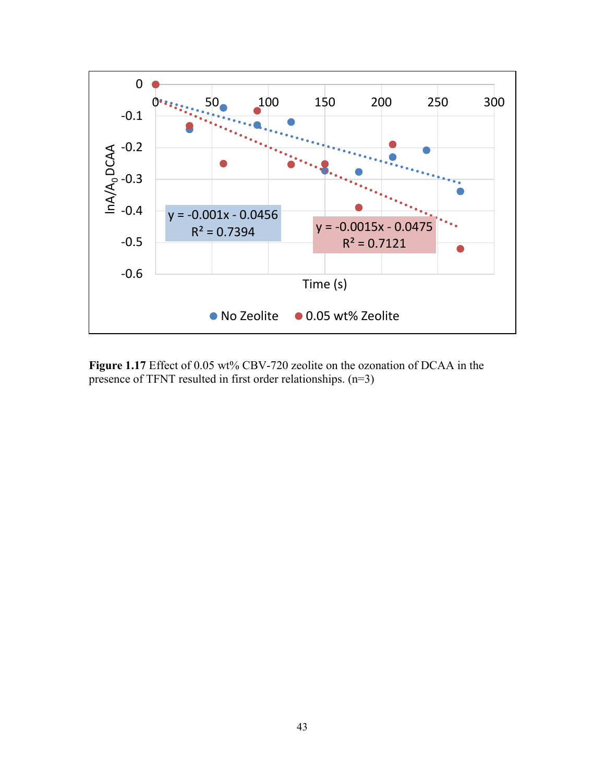

Figure 1.17 Effect of 0.05 wt% CBV-720 zeolite on the ozonation of DCAA in the presence of TFNT resulted in first order relationships. (n=3)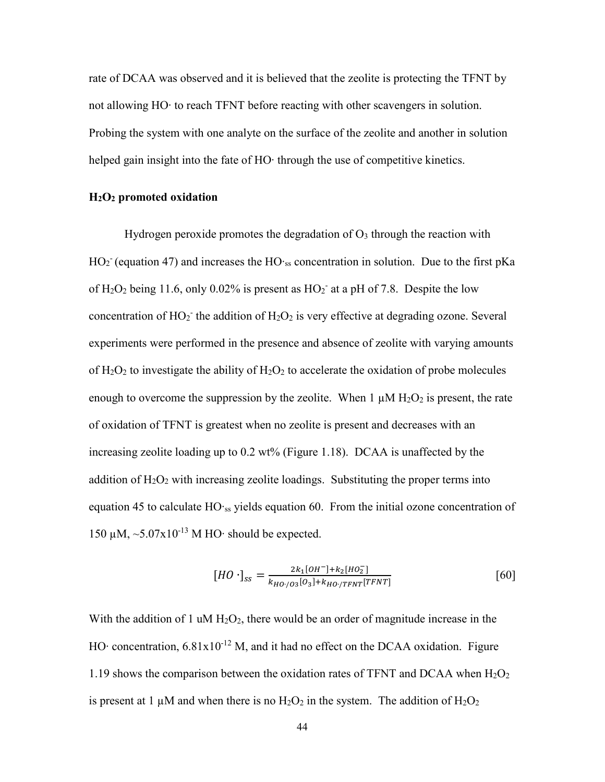rate of DCAA was observed and it is believed that the zeolite is protecting the TFNT by not allowing HO∙ to reach TFNT before reacting with other scavengers in solution. Probing the system with one analyte on the surface of the zeolite and another in solution helped gain insight into the fate of HO⋅ through the use of competitive kinetics.

#### **H2O2 promoted oxidation**

Hydrogen peroxide promotes the degradation of  $O_3$  through the reaction with  $HO<sub>2</sub>$  (equation 47) and increases the HO⋅ss concentration in solution. Due to the first pKa of  $H_2O_2$  being 11.6, only 0.02% is present as  $HO_2^-$  at a pH of 7.8. Despite the low concentration of  $HO_2$ <sup>-</sup> the addition of  $H_2O_2$  is very effective at degrading ozone. Several experiments were performed in the presence and absence of zeolite with varying amounts of  $H_2O_2$  to investigate the ability of  $H_2O_2$  to accelerate the oxidation of probe molecules enough to overcome the suppression by the zeolite. When  $1 \mu M H_2O_2$  is present, the rate of oxidation of TFNT is greatest when no zeolite is present and decreases with an increasing zeolite loading up to 0.2 wt% (Figure 1.18). DCAA is unaffected by the addition of  $H_2O_2$  with increasing zeolite loadings. Substituting the proper terms into equation 45 to calculate HO∙ss yields equation 60. From the initial ozone concentration of 150 μM, ~5.07x10<sup>-13</sup> M HO⋅ should be expected.

$$
[HO \cdot]_{ss} = \frac{2k_1[OH^-] + k_2[HO_2^-]}{k_{HO'/O_3}[O_3] + k_{HO'/TFNT}[TFNT]}\tag{60}
$$

With the addition of 1 uM  $H_2O_2$ , there would be an order of magnitude increase in the HO⋅ concentration, 6.81x10<sup>-12</sup> M, and it had no effect on the DCAA oxidation. Figure 1.19 shows the comparison between the oxidation rates of TFNT and DCAA when  $H_2O_2$ is present at 1  $\mu$ M and when there is no H<sub>2</sub>O<sub>2</sub> in the system. The addition of H<sub>2</sub>O<sub>2</sub>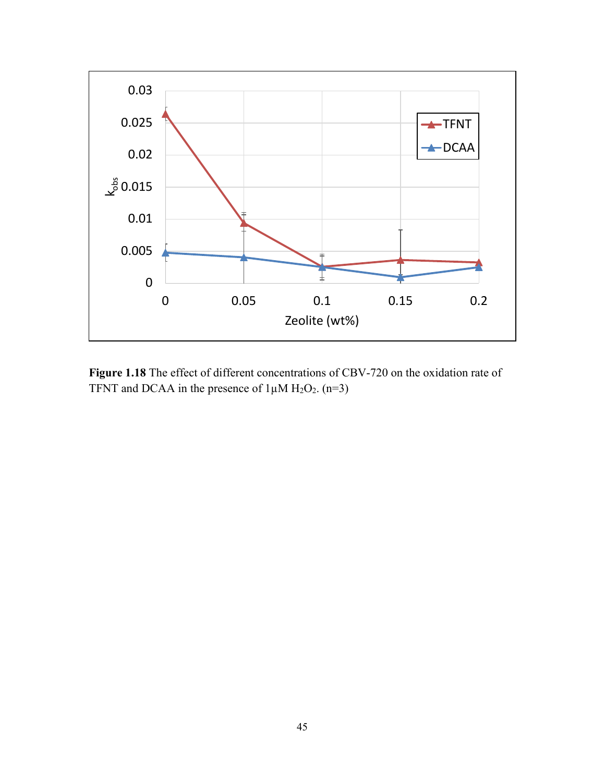

**Figure 1.18** The effect of different concentrations of CBV-720 on the oxidation rate of TFNT and DCAA in the presence of  $1\mu$ M H<sub>2</sub>O<sub>2</sub>. (n=3)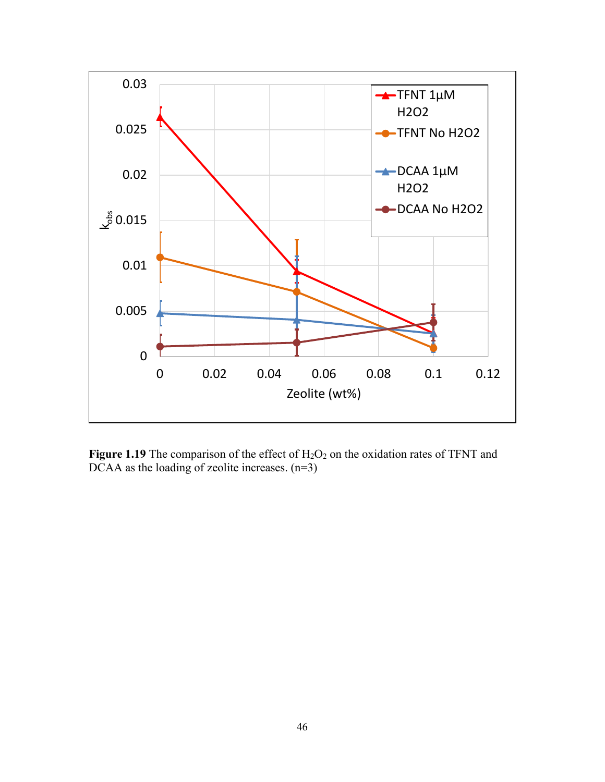

Figure 1.19 The comparison of the effect of H<sub>2</sub>O<sub>2</sub> on the oxidation rates of TFNT and DCAA as the loading of zeolite increases.  $(n=3)$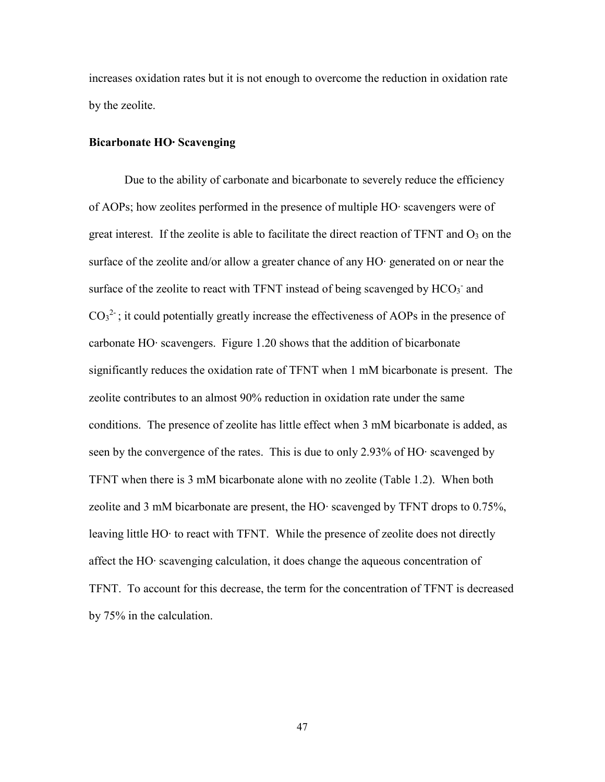increases oxidation rates but it is not enough to overcome the reduction in oxidation rate by the zeolite.

#### **Bicarbonate HO∙ Scavenging**

Due to the ability of carbonate and bicarbonate to severely reduce the efficiency of AOPs; how zeolites performed in the presence of multiple HO∙ scavengers were of great interest. If the zeolite is able to facilitate the direct reaction of TFNT and  $O_3$  on the surface of the zeolite and/or allow a greater chance of any HO∙ generated on or near the surface of the zeolite to react with TFNT instead of being scavenged by  $HCO_3^-$  and  $CO<sub>3</sub><sup>2</sup>$ ; it could potentially greatly increase the effectiveness of AOPs in the presence of carbonate HO∙ scavengers. Figure 1.20 shows that the addition of bicarbonate significantly reduces the oxidation rate of TFNT when 1 mM bicarbonate is present. The zeolite contributes to an almost 90% reduction in oxidation rate under the same conditions. The presence of zeolite has little effect when 3 mM bicarbonate is added, as seen by the convergence of the rates. This is due to only 2.93% of HO∙ scavenged by TFNT when there is 3 mM bicarbonate alone with no zeolite (Table 1.2). When both zeolite and 3 mM bicarbonate are present, the HO∙ scavenged by TFNT drops to 0.75%, leaving little HO∙ to react with TFNT. While the presence of zeolite does not directly affect the HO∙ scavenging calculation, it does change the aqueous concentration of TFNT. To account for this decrease, the term for the concentration of TFNT is decreased by 75% in the calculation.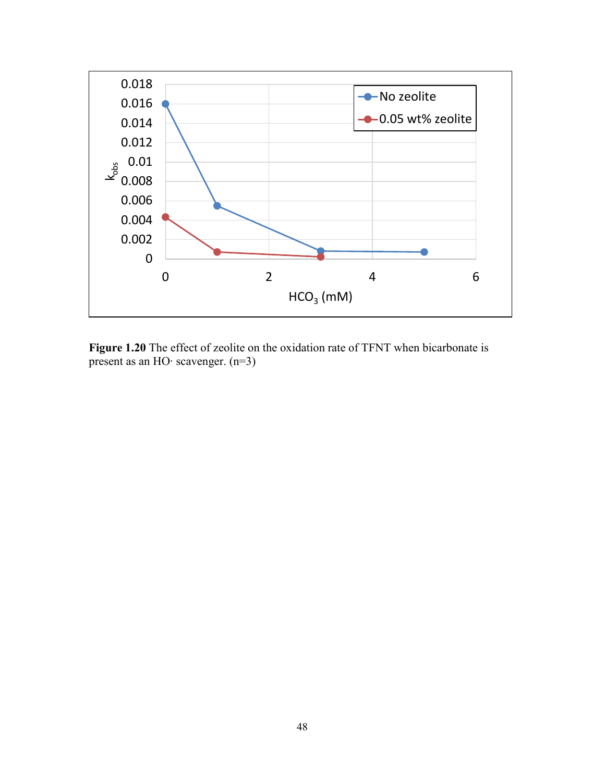

**Figure 1.20** The effect of zeolite on the oxidation rate of TFNT when bicarbonate is present as an HO∙ scavenger. (n=3)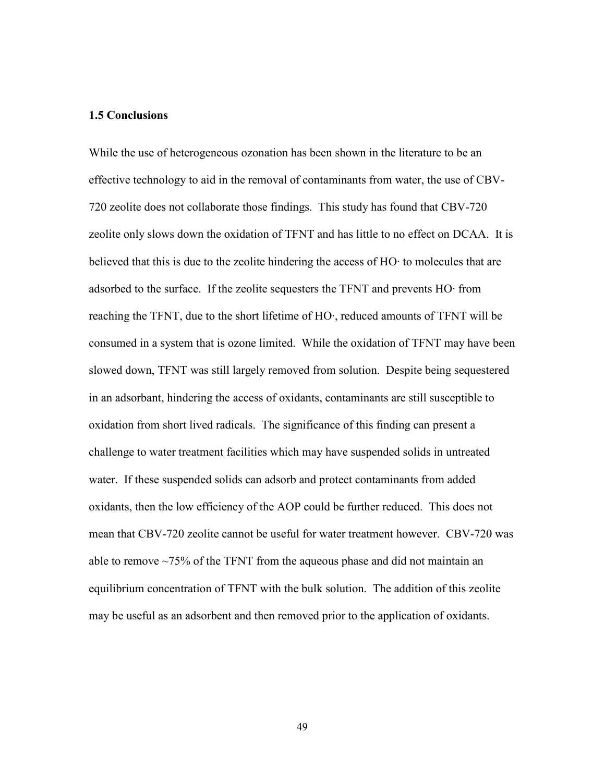#### **1.5 Conclusions**

While the use of heterogeneous ozonation has been shown in the literature to be an effective technology to aid in the removal of contaminants from water, the use of CBV-720 zeolite does not collaborate those findings. This study has found that CBV-720 zeolite only slows down the oxidation of TFNT and has little to no effect on DCAA. It is believed that this is due to the zeolite hindering the access of HO∙ to molecules that are adsorbed to the surface. If the zeolite sequesters the TFNT and prevents HO∙ from reaching the TFNT, due to the short lifetime of HO∙, reduced amounts of TFNT will be consumed in a system that is ozone limited. While the oxidation of TFNT may have been slowed down, TFNT was still largely removed from solution. Despite being sequestered in an adsorbant, hindering the access of oxidants, contaminants are still susceptible to oxidation from short lived radicals. The significance of this finding can present a challenge to water treatment facilities which may have suspended solids in untreated water. If these suspended solids can adsorb and protect contaminants from added oxidants, then the low efficiency of the AOP could be further reduced. This does not mean that CBV-720 zeolite cannot be useful for water treatment however. CBV-720 was able to remove ~75% of the TFNT from the aqueous phase and did not maintain an equilibrium concentration of TFNT with the bulk solution. The addition of this zeolite may be useful as an adsorbent and then removed prior to the application of oxidants.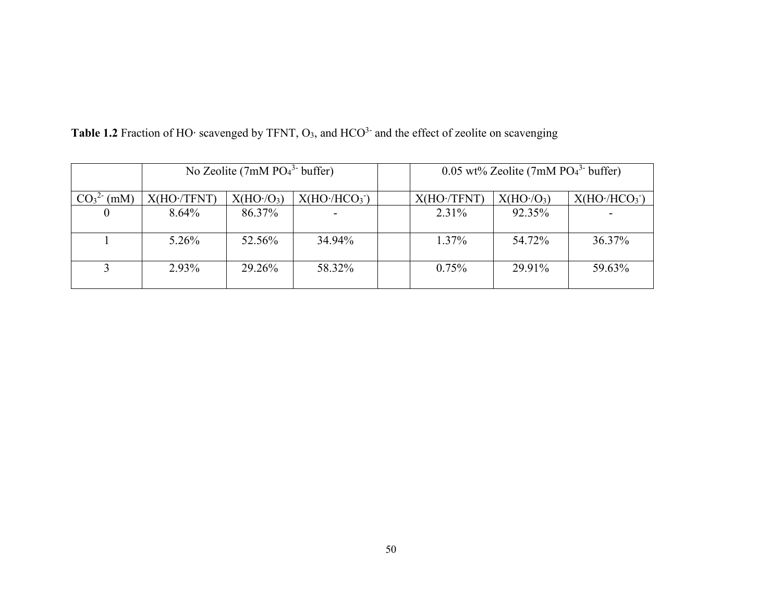|      | No Zeolite (7mM $PO43$ buffer) |                                     |                          | $0.05$ wt% Zeolite (7mM PO <sub>4</sub> <sup>3-</sup> buffer) |                                     |                         |
|------|--------------------------------|-------------------------------------|--------------------------|---------------------------------------------------------------|-------------------------------------|-------------------------|
| (mM) | X(HO(TFNT))                    | X(HO <sub>1</sub> /O <sub>3</sub> ) | X(HO·/HCO <sub>3</sub> ) | X(HO·/TFNT)                                                   | X(HO <sub>1</sub> /O <sub>3</sub> ) | X(HO/HCO <sub>3</sub> ) |
| 0    | 8.64%                          | 86.37%                              |                          | 2.31%                                                         | 92.35%                              |                         |
|      | $5.26\%$                       | 52.56%                              | 34.94%                   | $1.37\%$                                                      | 54.72%                              | 36.37%                  |
|      | 2.93%                          | 29.26%                              | 58.32%                   | 0.75%                                                         | 29.91%                              | 59.63%                  |

Table 1.2 Fraction of HO∙ scavenged by TFNT, O<sub>3</sub>, and HCO<sup>3-</sup> and the effect of zeolite on scavenging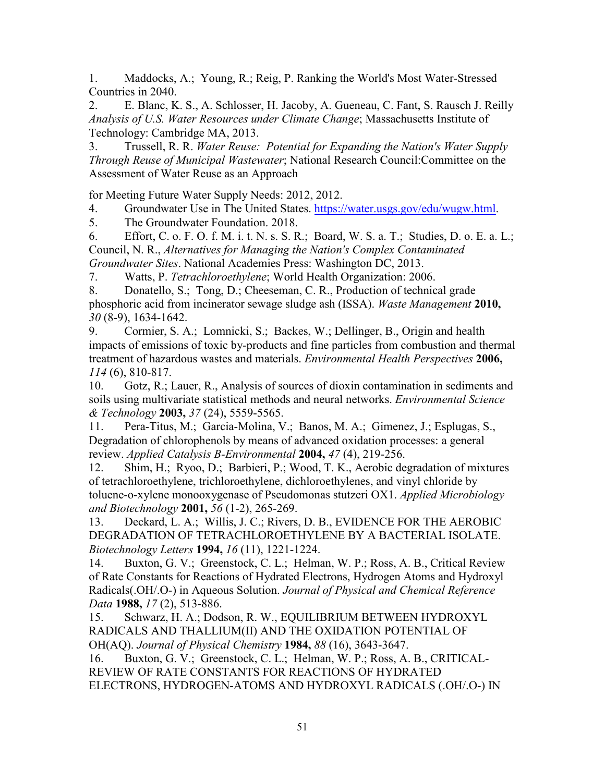1. Maddocks, A.; Young, R.; Reig, P. Ranking the World's Most Water-Stressed Countries in 2040.

2. E. Blanc, K. S., A. Schlosser, H. Jacoby, A. Gueneau, C. Fant, S. Rausch J. Reilly *Analysis of U.S. Water Resources under Climate Change*; Massachusetts Institute of Technology: Cambridge MA, 2013.

3. Trussell, R. R. *Water Reuse: Potential for Expanding the Nation's Water Supply Through Reuse of Municipal Wastewater*; National Research Council:Committee on the Assessment of Water Reuse as an Approach

for Meeting Future Water Supply Needs: 2012, 2012.

4. Groundwater Use in The United States. [https://water.usgs.gov/edu/wugw.html.](https://water.usgs.gov/edu/wugw.html)

5. The Groundwater Foundation. 2018.

6. Effort, C. o. F. O. f. M. i. t. N. s. S. R.; Board, W. S. a. T.; Studies, D. o. E. a. L.; Council, N. R., *Alternatives for Managing the Nation's Complex Contaminated Groundwater Sites*. National Academies Press: Washington DC, 2013.

7. Watts, P. *Tetrachloroethylene*; World Health Organization: 2006.

8. Donatello, S.; Tong, D.; Cheeseman, C. R., Production of technical grade phosphoric acid from incinerator sewage sludge ash (ISSA). *Waste Management* **2010,** *30* (8-9), 1634-1642.

9. Cormier, S. A.; Lomnicki, S.; Backes, W.; Dellinger, B., Origin and health impacts of emissions of toxic by-products and fine particles from combustion and thermal treatment of hazardous wastes and materials. *Environmental Health Perspectives* **2006,** *114* (6), 810-817.

10. Gotz, R.; Lauer, R., Analysis of sources of dioxin contamination in sediments and soils using multivariate statistical methods and neural networks. *Environmental Science & Technology* **2003,** *37* (24), 5559-5565.

11. Pera-Titus, M.; Garcia-Molina, V.; Banos, M. A.; Gimenez, J.; Esplugas, S., Degradation of chlorophenols by means of advanced oxidation processes: a general review. *Applied Catalysis B-Environmental* **2004,** *47* (4), 219-256.

12. Shim, H.; Ryoo, D.; Barbieri, P.; Wood, T. K., Aerobic degradation of mixtures of tetrachloroethylene, trichloroethylene, dichloroethylenes, and vinyl chloride by toluene-o-xylene monooxygenase of Pseudomonas stutzeri OX1. *Applied Microbiology and Biotechnology* **2001,** *56* (1-2), 265-269.

13. Deckard, L. A.; Willis, J. C.; Rivers, D. B., EVIDENCE FOR THE AEROBIC DEGRADATION OF TETRACHLOROETHYLENE BY A BACTERIAL ISOLATE. *Biotechnology Letters* **1994,** *16* (11), 1221-1224.

14. Buxton, G. V.; Greenstock, C. L.; Helman, W. P.; Ross, A. B., Critical Review of Rate Constants for Reactions of Hydrated Electrons, Hydrogen Atoms and Hydroxyl Radicals(.OH/.O-) in Aqueous Solution. *Journal of Physical and Chemical Reference Data* **1988,** *17* (2), 513-886.

15. Schwarz, H. A.; Dodson, R. W., EQUILIBRIUM BETWEEN HYDROXYL RADICALS AND THALLIUM(II) AND THE OXIDATION POTENTIAL OF OH(AQ). *Journal of Physical Chemistry* **1984,** *88* (16), 3643-3647.

16. Buxton, G. V.; Greenstock, C. L.; Helman, W. P.; Ross, A. B., CRITICAL-REVIEW OF RATE CONSTANTS FOR REACTIONS OF HYDRATED ELECTRONS, HYDROGEN-ATOMS AND HYDROXYL RADICALS (.OH/.O-) IN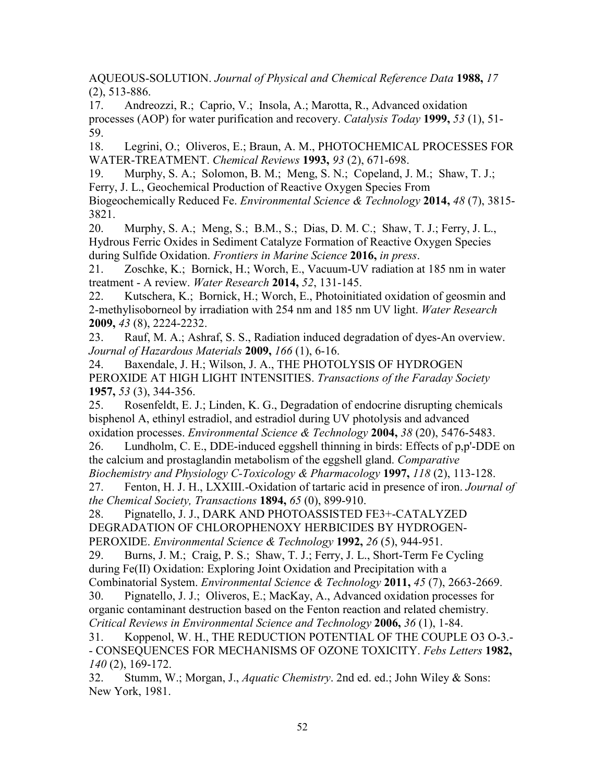AQUEOUS-SOLUTION. *Journal of Physical and Chemical Reference Data* **1988,** *17* (2), 513-886.

17. Andreozzi, R.; Caprio, V.; Insola, A.; Marotta, R., Advanced oxidation processes (AOP) for water purification and recovery. *Catalysis Today* **1999,** *53* (1), 51- 59.

18. Legrini, O.; Oliveros, E.; Braun, A. M., PHOTOCHEMICAL PROCESSES FOR WATER-TREATMENT. *Chemical Reviews* **1993,** *93* (2), 671-698.

19. Murphy, S. A.; Solomon, B. M.; Meng, S. N.; Copeland, J. M.; Shaw, T. J.; Ferry, J. L., Geochemical Production of Reactive Oxygen Species From

Biogeochemically Reduced Fe. *Environmental Science & Technology* **2014,** *48* (7), 3815- 3821.

20. Murphy, S. A.; Meng, S.; B.M., S.; Dias, D. M. C.; Shaw, T. J.; Ferry, J. L., Hydrous Ferric Oxides in Sediment Catalyze Formation of Reactive Oxygen Species during Sulfide Oxidation. *Frontiers in Marine Science* **2016,** *in press*.

21. Zoschke, K.; Bornick, H.; Worch, E., Vacuum-UV radiation at 185 nm in water treatment - A review. *Water Research* **2014,** *52*, 131-145.

22. Kutschera, K.; Bornick, H.; Worch, E., Photoinitiated oxidation of geosmin and 2-methylisoborneol by irradiation with 254 nm and 185 nm UV light. *Water Research*  **2009,** *43* (8), 2224-2232.

23. Rauf, M. A.; Ashraf, S. S., Radiation induced degradation of dyes-An overview. *Journal of Hazardous Materials* **2009,** *166* (1), 6-16.

24. Baxendale, J. H.; Wilson, J. A., THE PHOTOLYSIS OF HYDROGEN PEROXIDE AT HIGH LIGHT INTENSITIES. *Transactions of the Faraday Society*  **1957,** *53* (3), 344-356.

25. Rosenfeldt, E. J.; Linden, K. G., Degradation of endocrine disrupting chemicals bisphenol A, ethinyl estradiol, and estradiol during UV photolysis and advanced oxidation processes. *Environmental Science & Technology* **2004,** *38* (20), 5476-5483.

26. Lundholm, C. E., DDE-induced eggshell thinning in birds: Effects of p,p'-DDE on the calcium and prostaglandin metabolism of the eggshell gland. *Comparative Biochemistry and Physiology C-Toxicology & Pharmacology* **1997,** *118* (2), 113-128.

27. Fenton, H. J. H., LXXIII.-Oxidation of tartaric acid in presence of iron. *Journal of the Chemical Society, Transactions* **1894,** *65* (0), 899-910.

28. Pignatello, J. J., DARK AND PHOTOASSISTED FE3+-CATALYZED DEGRADATION OF CHLOROPHENOXY HERBICIDES BY HYDROGEN-PEROXIDE. *Environmental Science & Technology* **1992,** *26* (5), 944-951.

29. Burns, J. M.; Craig, P. S.; Shaw, T. J.; Ferry, J. L., Short-Term Fe Cycling during Fe(II) Oxidation: Exploring Joint Oxidation and Precipitation with a

Combinatorial System. *Environmental Science & Technology* **2011,** *45* (7), 2663-2669.

30. Pignatello, J. J.; Oliveros, E.; MacKay, A., Advanced oxidation processes for organic contaminant destruction based on the Fenton reaction and related chemistry. *Critical Reviews in Environmental Science and Technology* **2006,** *36* (1), 1-84.

31. Koppenol, W. H., THE REDUCTION POTENTIAL OF THE COUPLE O3 O-3.- - CONSEQUENCES FOR MECHANISMS OF OZONE TOXICITY. *Febs Letters* **1982,** *140* (2), 169-172.

32. Stumm, W.; Morgan, J., *Aquatic Chemistry*. 2nd ed. ed.; John Wiley & Sons: New York, 1981.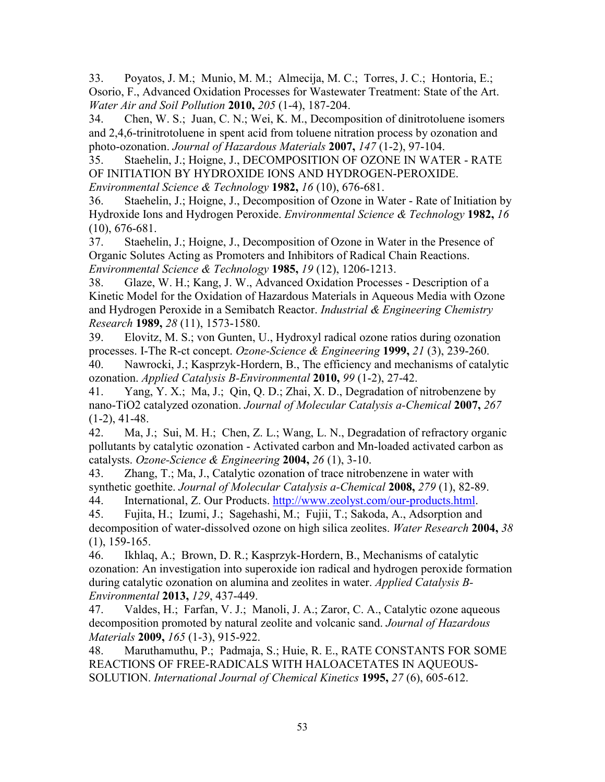33. Poyatos, J. M.; Munio, M. M.; Almecija, M. C.; Torres, J. C.; Hontoria, E.; Osorio, F., Advanced Oxidation Processes for Wastewater Treatment: State of the Art. *Water Air and Soil Pollution* **2010,** *205* (1-4), 187-204.

34. Chen, W. S.; Juan, C. N.; Wei, K. M., Decomposition of dinitrotoluene isomers and 2,4,6-trinitrotoluene in spent acid from toluene nitration process by ozonation and photo-ozonation. *Journal of Hazardous Materials* **2007,** *147* (1-2), 97-104.

35. Staehelin, J.; Hoigne, J., DECOMPOSITION OF OZONE IN WATER - RATE OF INITIATION BY HYDROXIDE IONS AND HYDROGEN-PEROXIDE. *Environmental Science & Technology* **1982,** *16* (10), 676-681.

36. Staehelin, J.; Hoigne, J., Decomposition of Ozone in Water - Rate of Initiation by Hydroxide Ions and Hydrogen Peroxide. *Environmental Science & Technology* **1982,** *16* (10), 676-681.

37. Staehelin, J.; Hoigne, J., Decomposition of Ozone in Water in the Presence of Organic Solutes Acting as Promoters and Inhibitors of Radical Chain Reactions. *Environmental Science & Technology* **1985,** *19* (12), 1206-1213.

38. Glaze, W. H.; Kang, J. W., Advanced Oxidation Processes - Description of a Kinetic Model for the Oxidation of Hazardous Materials in Aqueous Media with Ozone and Hydrogen Peroxide in a Semibatch Reactor. *Industrial & Engineering Chemistry Research* **1989,** *28* (11), 1573-1580.

39. Elovitz, M. S.; von Gunten, U., Hydroxyl radical ozone ratios during ozonation processes. I-The R-ct concept. *Ozone-Science & Engineering* **1999,** *21* (3), 239-260.

40. Nawrocki, J.; Kasprzyk-Hordern, B., The efficiency and mechanisms of catalytic ozonation. *Applied Catalysis B-Environmental* **2010,** *99* (1-2), 27-42.

41. Yang, Y. X.; Ma, J.; Qin, Q. D.; Zhai, X. D., Degradation of nitrobenzene by nano-TiO2 catalyzed ozonation. *Journal of Molecular Catalysis a-Chemical* **2007,** *267*  $(1-2)$ , 41 $-48$ .

42. Ma, J.; Sui, M. H.; Chen, Z. L.; Wang, L. N., Degradation of refractory organic pollutants by catalytic ozonation - Activated carbon and Mn-loaded activated carbon as catalysts. *Ozone-Science & Engineering* **2004,** *26* (1), 3-10.

43. Zhang, T.; Ma, J., Catalytic ozonation of trace nitrobenzene in water with synthetic goethite. *Journal of Molecular Catalysis a-Chemical* **2008,** *279* (1), 82-89. 44. International, Z. Our Products. [http://www.zeolyst.com/our-products.html.](http://www.zeolyst.com/our-products.html)

45. Fujita, H.; Izumi, J.; Sagehashi, M.; Fujii, T.; Sakoda, A., Adsorption and decomposition of water-dissolved ozone on high silica zeolites. *Water Research* **2004,** *38* (1), 159-165.

46. Ikhlaq, A.; Brown, D. R.; Kasprzyk-Hordern, B., Mechanisms of catalytic ozonation: An investigation into superoxide ion radical and hydrogen peroxide formation during catalytic ozonation on alumina and zeolites in water. *Applied Catalysis B-Environmental* **2013,** *129*, 437-449.

47. Valdes, H.; Farfan, V. J.; Manoli, J. A.; Zaror, C. A., Catalytic ozone aqueous decomposition promoted by natural zeolite and volcanic sand. *Journal of Hazardous Materials* **2009,** *165* (1-3), 915-922.

48. Maruthamuthu, P.; Padmaja, S.; Huie, R. E., RATE CONSTANTS FOR SOME REACTIONS OF FREE-RADICALS WITH HALOACETATES IN AQUEOUS-SOLUTION. *International Journal of Chemical Kinetics* **1995,** *27* (6), 605-612.